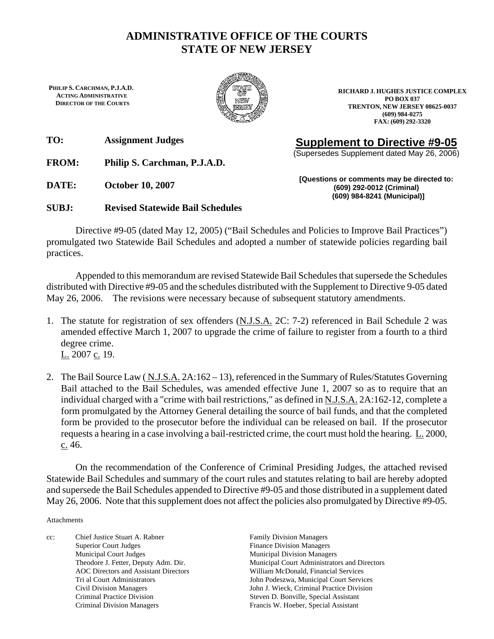### **ADMINISTRATIVE OFFICE OF THE COURTS STATE OF NEW JERSEY**

**PHILIP S. CARCHMAN, P.J.A.D. ACTING ADMINISTRATIVE DIRECTOR OF THE COURTS**



**RICHARD J. HUGHES JUSTICE COMPLEX PO BOX 037 TRENTON, NEW JERSEY 08625-0037 (609) 984-0275 FAX: (609) 292-3320**

**TO: Assignment Judges** 

**FROM: Philip S. Carchman, P.J.A.D.** 

**DATE: October 10, 2007** 

**SUBJ: Revised Statewide Bail Schedules** 

**Supplement to Directive #9-05** 

(Supersedes Supplement dated May 26, 2006)

**[Questions or comments may be directed to: (609) 292-0012 (Criminal) (609) 984-8241 (Municipal)]** 

 Directive #9-05 (dated May 12, 2005) ("Bail Schedules and Policies to Improve Bail Practices") promulgated two Statewide Bail Schedules and adopted a number of statewide policies regarding bail practices.

Appended to this memorandum are revised Statewide Bail Schedules that supersede the Schedules distributed with Directive #9-05 and the schedules distributed with the Supplement to Directive 9-05 dated May 26, 2006. The revisions were necessary because of subsequent statutory amendments.

- 1. The statute for registration of sex offenders (N.J.S.A. 2C: 7-2) referenced in Bail Schedule 2 was amended effective March 1, 2007 to upgrade the crime of failure to register from a fourth to a third degree crime. L. 2007 c. 19.
- 2. The Bail Source Law (N.J.S.A. 2A:162 13), referenced in the Summary of Rules/Statutes Governing Bail attached to the Bail Schedules, was amended effective June 1, 2007 so as to require that an individual charged with a "crime with bail restrictions," as defined in N.J.S.A. 2A:162-12, complete a form promulgated by the Attorney General detailing the source of bail funds, and that the completed form be provided to the prosecutor before the individual can be released on bail. If the prosecutor requests a hearing in a case involving a bail-restricted crime, the court must hold the hearing. L. 2000, c. 46.

On the recommendation of the Conference of Criminal Presiding Judges, the attached revised Statewide Bail Schedules and summary of the court rules and statutes relating to bail are hereby adopted and supersede the Bail Schedules appended to Directive #9-05 and those distributed in a supplement dated May 26, 2006. Note that this supplement does not affect the policies also promulgated by Directive #9-05.

Attachments

cc: Chief Justice Stuart A. Rabner Family Division Managers Superior Court Judges Finance Division Managers Municipal Court Judges Municipal Division Managers Criminal Practice Division Steven D. Bonville, Special Assistant Criminal Division Managers Francis W. Hoeber, Special Assistant

Theodore J. Fetter, Deputy Adm. Dir. Municipal Court Administrators and Directors AOC Directors and Assistant Directors William McDonald, Financial Services Tri al Court Administrators John Podeszwa, Municipal Court Services Civil Division Managers John J. Wieck, Criminal Practice Division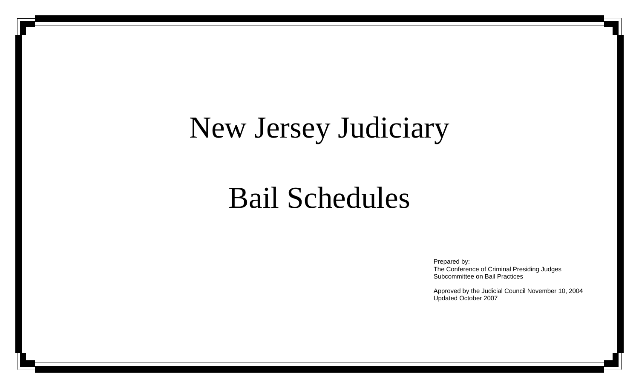# New Jersey Judiciary

## Bail Schedules

Prepared by: The Conference of Criminal Presiding Judges Subcommittee on Bail Practices

Approved by the Judicial Council November 10, 2004 Updated October 2007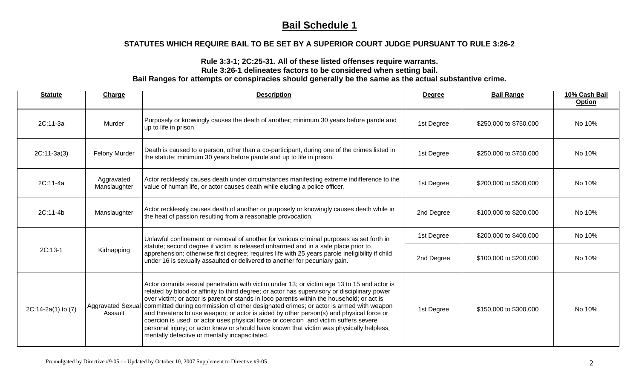### **STATUTES WHICH REQUIRE BAIL TO BE SET BY A SUPERIOR COURT JUDGE PURSUANT TO RULE 3:26-2**

#### **Rule 3:3-1; 2C:25-31. All of these listed offenses require warrants. Rule 3:26-1 delineates factors to be considered when setting bail.**

| <b>Statute</b>     | Charge                     | <b>Description</b>                                                                                                                                                                                                                                                                                                                                                                                                                                                                                                                                                                                                                                                                                                                    | <b>Degree</b> | <b>Bail Range</b>      | 10% Cash Bail<br><b>Option</b> |
|--------------------|----------------------------|---------------------------------------------------------------------------------------------------------------------------------------------------------------------------------------------------------------------------------------------------------------------------------------------------------------------------------------------------------------------------------------------------------------------------------------------------------------------------------------------------------------------------------------------------------------------------------------------------------------------------------------------------------------------------------------------------------------------------------------|---------------|------------------------|--------------------------------|
| 2C:11-3a           | Murder                     | Purposely or knowingly causes the death of another; minimum 30 years before parole and<br>up to life in prison.                                                                                                                                                                                                                                                                                                                                                                                                                                                                                                                                                                                                                       | 1st Degree    | \$250,000 to \$750,000 | No 10%                         |
| $2C:11-3a(3)$      | Felony Murder              | Death is caused to a person, other than a co-participant, during one of the crimes listed in<br>the statute; minimum 30 years before parole and up to life in prison.                                                                                                                                                                                                                                                                                                                                                                                                                                                                                                                                                                 | 1st Degree    | \$250,000 to \$750,000 | No 10%                         |
| $2C:11-4a$         | Aggravated<br>Manslaughter | Actor recklessly causes death under circumstances manifesting extreme indifference to the<br>value of human life, or actor causes death while eluding a police officer.                                                                                                                                                                                                                                                                                                                                                                                                                                                                                                                                                               | 1st Degree    | \$200,000 to \$500,000 | No 10%                         |
| 2C:11-4b           | Manslaughter               | Actor recklessly causes death of another or purposely or knowingly causes death while in<br>the heat of passion resulting from a reasonable provocation.                                                                                                                                                                                                                                                                                                                                                                                                                                                                                                                                                                              | 2nd Degree    | \$100,000 to \$200,000 | No 10%                         |
|                    |                            | Unlawful confinement or removal of another for various criminal purposes as set forth in<br>statute; second degree if victim is released unharmed and in a safe place prior to<br>apprehension; otherwise first degree; requires life with 25 years parole ineligibility if child<br>under 16 is sexually assaulted or delivered to another for pecuniary gain.                                                                                                                                                                                                                                                                                                                                                                       | 1st Degree    | \$200,000 to \$400,000 | No 10%                         |
| $2C:13-1$          | Kidnapping                 |                                                                                                                                                                                                                                                                                                                                                                                                                                                                                                                                                                                                                                                                                                                                       | 2nd Degree    | \$100,000 to \$200,000 | No 10%                         |
| 2C:14-2a(1) to (7) | Assault                    | Actor commits sexual penetration with victim under 13; or victim age 13 to 15 and actor is<br>related by blood or affinity to third degree; or actor has supervisory or disciplinary power<br>over victim; or actor is parent or stands in loco parentis within the household; or act is<br>Aggravated Sexual   committed during commission of other designated crimes; or actor is armed with weapon<br>and threatens to use weapon; or actor is aided by other person(s) and physical force or<br>coercion is used; or actor uses physical force or coercion and victim suffers severe<br>personal injury; or actor knew or should have known that victim was physically helpless,<br>mentally defective or mentally incapacitated. | 1st Degree    | \$150,000 to \$300,000 | No 10%                         |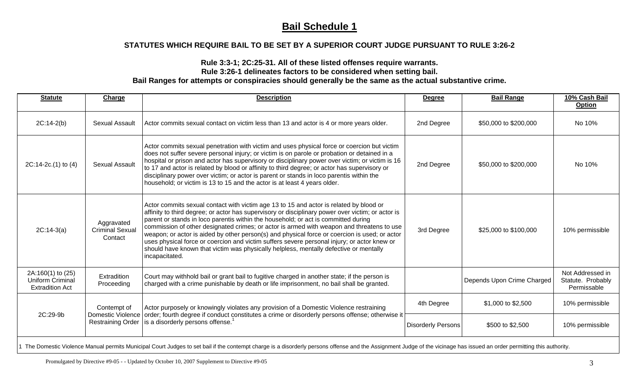#### **STATUTES WHICH REQUIRE BAIL TO BE SET BY A SUPERIOR COURT JUDGE PURSUANT TO RULE 3:26-2**

#### **Rule 3:3-1; 2C:25-31. All of these listed offenses require warrants. Rule 3:26-1 delineates factors to be considered when setting bail. Bail Ranges for attempts or conspiracies should generally be the same as the actual substantive crime.**

| <b>Statute</b>                                                                                                                                                                                                           | Charge                                                              | <b>Description</b>                                                                                                                                                                                                                                                                                                                                                                                                                                                                                                                                                                                                                                                                        | <b>Degree</b>             | <b>Bail Range</b>          | 10% Cash Bail<br>Option                              |  |
|--------------------------------------------------------------------------------------------------------------------------------------------------------------------------------------------------------------------------|---------------------------------------------------------------------|-------------------------------------------------------------------------------------------------------------------------------------------------------------------------------------------------------------------------------------------------------------------------------------------------------------------------------------------------------------------------------------------------------------------------------------------------------------------------------------------------------------------------------------------------------------------------------------------------------------------------------------------------------------------------------------------|---------------------------|----------------------------|------------------------------------------------------|--|
| $2C:14-2(b)$                                                                                                                                                                                                             | <b>Sexual Assault</b>                                               | Actor commits sexual contact on victim less than 13 and actor is 4 or more years older.                                                                                                                                                                                                                                                                                                                                                                                                                                                                                                                                                                                                   | 2nd Degree                | \$50,000 to \$200,000      | No 10%                                               |  |
| $2C:14-2c.(1)$ to $(4)$                                                                                                                                                                                                  | <b>Sexual Assault</b>                                               | Actor commits sexual penetration with victim and uses physical force or coercion but victim<br>does not suffer severe personal injury; or victim is on parole or probation or detained in a<br>hospital or prison and actor has supervisory or disciplinary power over victim; or victim is 16<br>to 17 and actor is related by blood or affinity to third degree; or actor has supervisory or<br>disciplinary power over victim; or actor is parent or stands in loco parentis within the<br>household; or victim is 13 to 15 and the actor is at least 4 years older.                                                                                                                   | 2nd Degree                | \$50,000 to \$200,000      | No 10%                                               |  |
| $2C:14-3(a)$                                                                                                                                                                                                             | Aggravated<br><b>Criminal Sexual</b><br>Contact                     | Actor commits sexual contact with victim age 13 to 15 and actor is related by blood or<br>affinity to third degree; or actor has supervisory or disciplinary power over victim; or actor is<br>parent or stands in loco parentis within the household; or act is committed during<br>commission of other designated crimes; or actor is armed with weapon and threatens to use<br>weapon; or actor is aided by other person(s) and physical force or coercion is used; or actor<br>uses physical force or coercion and victim suffers severe personal injury; or actor knew or<br>should have known that victim was physically helpless, mentally defective or mentally<br>incapacitated. | 3rd Degree                | \$25,000 to \$100,000      | 10% permissible                                      |  |
| 2A:160(1) to (25)<br>Uniform Criminal<br><b>Extradition Act</b>                                                                                                                                                          | Extradition<br>Proceeding                                           | Court may withhold bail or grant bail to fugitive charged in another state; if the person is<br>charged with a crime punishable by death or life imprisonment, no bail shall be granted.                                                                                                                                                                                                                                                                                                                                                                                                                                                                                                  |                           | Depends Upon Crime Charged | Not Addressed in<br>Statute. Probably<br>Permissable |  |
| 2C:29-9b                                                                                                                                                                                                                 | Contempt of<br><b>Domestic Violence</b><br><b>Restraining Order</b> | Actor purposely or knowingly violates any provision of a Domestic Violence restraining<br>order; fourth degree if conduct constitutes a crime or disorderly persons offense; otherwise it<br>is a disorderly persons offense. <sup>1</sup>                                                                                                                                                                                                                                                                                                                                                                                                                                                | 4th Degree                | \$1,000 to \$2,500         | 10% permissible                                      |  |
|                                                                                                                                                                                                                          |                                                                     |                                                                                                                                                                                                                                                                                                                                                                                                                                                                                                                                                                                                                                                                                           | <b>Disorderly Persons</b> | \$500 to \$2,500           | 10% permissible                                      |  |
| 1 The Domestic Violence Manual permits Municipal Court Judges to set bail if the contempt charge is a disorderly persons offense and the Assignment Judge of the vicinage has issued an order permitting this authority. |                                                                     |                                                                                                                                                                                                                                                                                                                                                                                                                                                                                                                                                                                                                                                                                           |                           |                            |                                                      |  |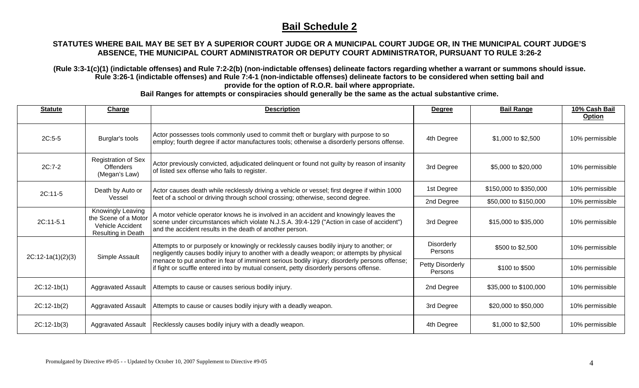#### **STATUTES WHERE BAIL MAY BE SET BY A SUPERIOR COURT JUDGE OR A MUNICIPAL COURT JUDGE OR, IN THE MUNICIPAL COURT JUDGE'S ABSENCE, THE MUNICIPAL COURT ADMINISTRATOR OR DEPUTY COURT ADMINISTRATOR, PURSUANT TO RULE 3:26-2**

**(Rule 3:3-1(c)(1) (indictable offenses) and Rule 7:2-2(b) (non-indictable offenses) delineate factors regarding whether a warrant or summons should issue. Rule 3:26-1 (indictable offenses) and Rule 7:4-1 (non-indictable offenses) delineate factors to be considered when setting bail and provide for the option of R.O.R. bail where appropriate.** 

| Actor possesses tools commonly used to commit theft or burglary with purpose to so                                                                                                                                                                                                                                                                                                        | 10% permissible |
|-------------------------------------------------------------------------------------------------------------------------------------------------------------------------------------------------------------------------------------------------------------------------------------------------------------------------------------------------------------------------------------------|-----------------|
| $2C:5-5$<br>Burglar's tools<br>4th Degree<br>\$1,000 to \$2,500<br>employ; fourth degree if actor manufactures tools; otherwise a disorderly persons offense.                                                                                                                                                                                                                             |                 |
| <b>Registration of Sex</b><br>Actor previously convicted, adjudicated delinquent or found not guilty by reason of insanity<br>$2C:7-2$<br><b>Offenders</b><br>3rd Degree<br>\$5,000 to \$20,000<br>of listed sex offense who fails to register.<br>(Megan's Law)                                                                                                                          | 10% permissible |
| 1st Degree<br>\$150,000 to \$350,000<br>Actor causes death while recklessly driving a vehicle or vessel; first degree if within 1000<br>Death by Auto or<br>2C:11-5                                                                                                                                                                                                                       | 10% permissible |
| feet of a school or driving through school crossing; otherwise, second degree.<br>Vessel<br>2nd Degree<br>\$50,000 to \$150,000                                                                                                                                                                                                                                                           | 10% permissible |
| Knowingly Leaving<br>A motor vehicle operator knows he is involved in an accident and knowingly leaves the<br>the Scene of a Motor<br>scene under circumstances which violate N.J.S.A. 39:4-129 ("Action in case of accident")<br>$2C:11-5.1$<br>3rd Degree<br>\$15,000 to \$35,000<br>Vehicle Accident<br>and the accident results in the death of another person.<br>Resulting in Death | 10% permissible |
| <b>Disorderly</b><br>Attempts to or purposely or knowingly or recklessly causes bodily injury to another; or<br>\$500 to \$2,500<br>Persons<br>negligently causes bodily injury to another with a deadly weapon; or attempts by physical<br>Simple Assault<br>$2C:12-1a(1)(2)(3)$                                                                                                         | 10% permissible |
| menace to put another in fear of imminent serious bodily injury; disorderly persons offense;<br>Petty Disorderly<br>if fight or scuffle entered into by mutual consent, petty disorderly persons offense.<br>\$100 to \$500<br>Persons                                                                                                                                                    | 10% permissible |
| 2nd Degree<br>$2C:12-1b(1)$<br><b>Aggravated Assault</b><br>Attempts to cause or causes serious bodily injury.<br>\$35,000 to \$100,000                                                                                                                                                                                                                                                   | 10% permissible |
| $2C:12-1b(2)$<br>Attempts to cause or causes bodily injury with a deadly weapon.<br>\$20,000 to \$50,000<br>Aggravated Assault<br>3rd Degree                                                                                                                                                                                                                                              | 10% permissible |
| $2C:12-1b(3)$<br>Recklessly causes bodily injury with a deadly weapon.<br>4th Degree<br>\$1,000 to \$2,500<br>Aggravated Assault                                                                                                                                                                                                                                                          | 10% permissible |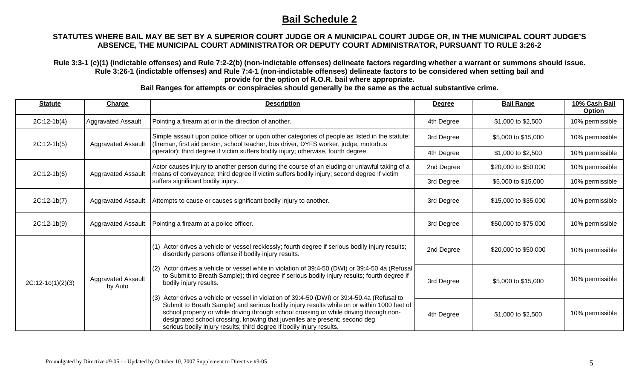#### **STATUTES WHERE BAIL MAY BE SET BY A SUPERIOR COURT JUDGE OR A MUNICIPAL COURT JUDGE OR, IN THE MUNICIPAL COURT JUDGE'S ABSENCE, THE MUNICIPAL COURT ADMINISTRATOR OR DEPUTY COURT ADMINISTRATOR, PURSUANT TO RULE 3:26-2**

**Rule 3:3-1 (c)(1) (indictable offenses) and Rule 7:2-2(b) (non-indictable offenses) delineate factors regarding whether a warrant or summons should issue. Rule 3:26-1 (indictable offenses) and Rule 7:4-1 (non-indictable offenses) delineate factors to be considered when setting bail and provide for the option of R.O.R. bail where appropriate.** 

| <b>Statute</b>      | Charge                               | <b>Description</b>                                                                                                                                                                                                                                                                                                                                                                                                                            | <b>Degree</b> | <b>Bail Range</b>    | 10% Cash Bail<br><b>Option</b> |
|---------------------|--------------------------------------|-----------------------------------------------------------------------------------------------------------------------------------------------------------------------------------------------------------------------------------------------------------------------------------------------------------------------------------------------------------------------------------------------------------------------------------------------|---------------|----------------------|--------------------------------|
| $2C:12-1b(4)$       | Aggravated Assault                   | Pointing a firearm at or in the direction of another.                                                                                                                                                                                                                                                                                                                                                                                         | 4th Degree    | \$1,000 to \$2,500   | 10% permissible                |
| $2C:12-1b(5)$       | <b>Aggravated Assault</b>            | Simple assault upon police officer or upon other categories of people as listed in the statute;<br>(fireman, first aid person, school teacher, bus driver, DYFS worker, judge, motorbus                                                                                                                                                                                                                                                       | 3rd Degree    | \$5,000 to \$15,000  | 10% permissible                |
|                     |                                      | operator); third degree if victim suffers bodily injury; otherwise, fourth degree.                                                                                                                                                                                                                                                                                                                                                            | 4th Degree    | \$1,000 to \$2,500   | 10% permissible                |
| $2C:12-1b(6)$       | <b>Aggravated Assault</b>            | Actor causes injury to another person during the course of an eluding or unlawful taking of a<br>means of conveyance; third degree if victim suffers bodily injury; second degree if victim                                                                                                                                                                                                                                                   | 2nd Degree    | \$20,000 to \$50,000 | 10% permissible                |
|                     |                                      | suffers significant bodily injury.                                                                                                                                                                                                                                                                                                                                                                                                            | 3rd Degree    | \$5,000 to \$15,000  | 10% permissible                |
| $2C:12-1b(7)$       | <b>Aggravated Assault</b>            | Attempts to cause or causes significant bodily injury to another.                                                                                                                                                                                                                                                                                                                                                                             | 3rd Degree    | \$15,000 to \$35,000 | 10% permissible                |
| $2C:12-1b(9)$       | <b>Aggravated Assault</b>            | Pointing a firearm at a police officer.                                                                                                                                                                                                                                                                                                                                                                                                       | 3rd Degree    | \$50,000 to \$75,000 | 10% permissible                |
|                     | <b>Aggravated Assault</b><br>by Auto | $(1)$ Actor drives a vehicle or vessel recklessly; fourth degree if serious bodily injury results;<br>disorderly persons offense if bodily injury results.                                                                                                                                                                                                                                                                                    | 2nd Degree    | \$20,000 to \$50,000 | 10% permissible                |
| $2C:12-1c(1)(2)(3)$ |                                      | (2) Actor drives a vehicle or vessel while in violation of 39:4-50 (DWI) or 39:4-50.4a (Refusal<br>to Submit to Breath Sample); third degree if serious bodily injury results; fourth degree if<br>bodily injury results.                                                                                                                                                                                                                     | 3rd Degree    | \$5,000 to \$15,000  | 10% permissible                |
|                     |                                      | $(3)$ Actor drives a vehicle or vessel in violation of 39:4-50 (DWI) or 39:4-50.4a (Refusal to<br>Submit to Breath Sample) and serious bodily injury results while on or within 1000 feet of<br>school property or while driving through school crossing or while driving through non-<br>designated school crossing, knowing that juveniles are present; second deg<br>serious bodily injury results; third degree if bodily injury results. | 4th Degree    | \$1,000 to \$2,500   | 10% permissible                |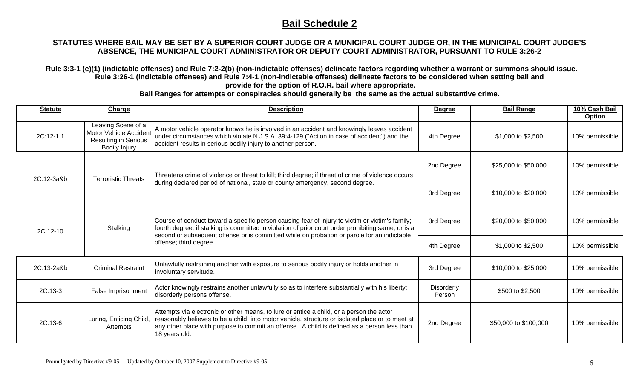### **STATUTES WHERE BAIL MAY BE SET BY A SUPERIOR COURT JUDGE OR A MUNICIPAL COURT JUDGE OR, IN THE MUNICIPAL COURT JUDGE'S ABSENCE, THE MUNICIPAL COURT ADMINISTRATOR OR DEPUTY COURT ADMINISTRATOR, PURSUANT TO RULE 3:26-2**

**Rule 3:3-1 (c)(1) (indictable offenses) and Rule 7:2-2(b) (non-indictable offenses) delineate factors regarding whether a warrant or summons should issue. Rule 3:26-1 (indictable offenses) and Rule 7:4-1 (non-indictable offenses) delineate factors to be considered when setting bail and provide for the option of R.O.R. bail where appropriate.** 

| <b>Statute</b> | Charge                                                                                              | <b>Description</b>                                                                                                                                                                                                                                                                                                              | <b>Degree</b>        | <b>Bail Range</b>     | 10% Cash Bail<br><b>Option</b> |
|----------------|-----------------------------------------------------------------------------------------------------|---------------------------------------------------------------------------------------------------------------------------------------------------------------------------------------------------------------------------------------------------------------------------------------------------------------------------------|----------------------|-----------------------|--------------------------------|
| 2C:12-1.1      | Leaving Scene of a<br>Motor Vehicle Accident<br><b>Resulting in Serious</b><br><b>Bodily Injury</b> | A motor vehicle operator knows he is involved in an accident and knowingly leaves accident<br>under circumstances which violate N.J.S.A. 39:4-129 ("Action in case of accident") and the<br>accident results in serious bodily injury to another person.                                                                        | 4th Degree           | \$1,000 to \$2,500    | 10% permissible                |
| 2C:12-3a&b     |                                                                                                     | Threatens crime of violence or threat to kill; third degree; if threat of crime of violence occurs<br><b>Terroristic Threats</b><br>during declared period of national, state or county emergency, second degree.                                                                                                               | 2nd Degree           | \$25,000 to \$50,000  | 10% permissible                |
|                |                                                                                                     |                                                                                                                                                                                                                                                                                                                                 | 3rd Degree           | \$10,000 to \$20,000  | 10% permissible                |
| 2C:12-10       | Stalking                                                                                            | Course of conduct toward a specific person causing fear of injury to victim or victim's family;<br>fourth degree; if stalking is committed in violation of prior court order prohibiting same, or is a<br>second or subsequent offense or is committed while on probation or parole for an indictable<br>offense; third degree. | 3rd Degree           | \$20,000 to \$50,000  | 10% permissible                |
|                |                                                                                                     |                                                                                                                                                                                                                                                                                                                                 | 4th Degree           | \$1,000 to \$2,500    | 10% permissible                |
| 2C:13-2a&b     | <b>Criminal Restraint</b>                                                                           | Unlawfully restraining another with exposure to serious bodily injury or holds another in<br>involuntary servitude.                                                                                                                                                                                                             | 3rd Degree           | \$10,000 to \$25,000  | 10% permissible                |
| $2C:13-3$      | False Imprisonment                                                                                  | Actor knowingly restrains another unlawfully so as to interfere substantially with his liberty;<br>disorderly persons offense.                                                                                                                                                                                                  | Disorderly<br>Person | \$500 to \$2,500      | 10% permissible                |
| $2C:13-6$      | Luring, Enticing Child,<br>Attempts                                                                 | Attempts via electronic or other means, to lure or entice a child, or a person the actor<br>reasonably believes to be a child, into motor vehicle, structure or isolated place or to meet at<br>any other place with purpose to commit an offense. A child is defined as a person less than<br>18 years old.                    | 2nd Degree           | \$50,000 to \$100,000 | 10% permissible                |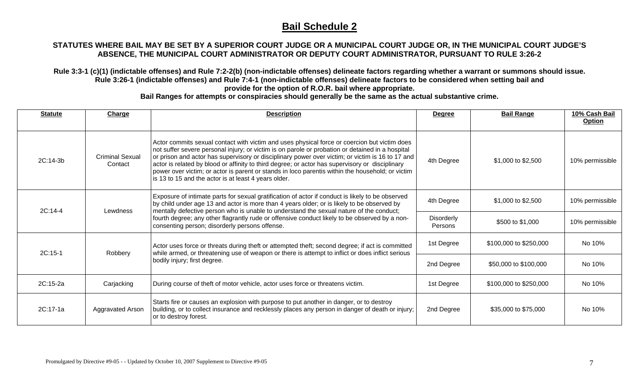### **STATUTES WHERE BAIL MAY BE SET BY A SUPERIOR COURT JUDGE OR A MUNICIPAL COURT JUDGE OR, IN THE MUNICIPAL COURT JUDGE'S ABSENCE, THE MUNICIPAL COURT ADMINISTRATOR OR DEPUTY COURT ADMINISTRATOR, PURSUANT TO RULE 3:26-2**

**Rule 3:3-1 (c)(1) (indictable offenses) and Rule 7:2-2(b) (non-indictable offenses) delineate factors regarding whether a warrant or summons should issue. Rule 3:26-1 (indictable offenses) and Rule 7:4-1 (non-indictable offenses) delineate factors to be considered when setting bail and provide for the option of R.O.R. bail where appropriate.** 

| <b>Statute</b>      | Charge                            | <b>Description</b>                                                                                                                                                                                                                                                                                                                                                                                                                                                                                                                                                  | <b>Degree</b>         | <b>Bail Range</b>      | 10% Cash Bail<br><b>Option</b> |
|---------------------|-----------------------------------|---------------------------------------------------------------------------------------------------------------------------------------------------------------------------------------------------------------------------------------------------------------------------------------------------------------------------------------------------------------------------------------------------------------------------------------------------------------------------------------------------------------------------------------------------------------------|-----------------------|------------------------|--------------------------------|
| 2C:14-3b            | <b>Criminal Sexual</b><br>Contact | Actor commits sexual contact with victim and uses physical force or coercion but victim does<br>not suffer severe personal injury; or victim is on parole or probation or detained in a hospital<br>or prison and actor has supervisory or disciplinary power over victim; or victim is 16 to 17 and<br>actor is related by blood or affinity to third degree; or actor has supervisory or disciplinary<br>power over victim; or actor is parent or stands in loco parentis within the household; or victim<br>is 13 to 15 and the actor is at least 4 years older. | 4th Degree            | \$1,000 to \$2,500     | 10% permissible                |
| 2C:14-4<br>Lewdness |                                   | Exposure of intimate parts for sexual gratification of actor if conduct is likely to be observed<br>by child under age 13 and actor is more than 4 years older; or is likely to be observed by<br>mentally defective person who is unable to understand the sexual nature of the conduct;<br>fourth degree; any other flagrantly rude or offensive conduct likely to be observed by a non-<br>consenting person; disorderly persons offense.                                                                                                                        | 4th Degree            | \$1,000 to \$2,500     | 10% permissible                |
|                     |                                   |                                                                                                                                                                                                                                                                                                                                                                                                                                                                                                                                                                     | Disorderly<br>Persons | \$500 to \$1,000       | 10% permissible                |
| 2C:15-1             |                                   | Actor uses force or threats during theft or attempted theft; second degree; if act is committed<br>while armed, or threatening use of weapon or there is attempt to inflict or does inflict serious<br>Robbery<br>bodily injury; first degree.                                                                                                                                                                                                                                                                                                                      | 1st Degree            | \$100,000 to \$250,000 | No 10%                         |
|                     |                                   |                                                                                                                                                                                                                                                                                                                                                                                                                                                                                                                                                                     | 2nd Degree            | \$50,000 to \$100,000  | No 10%                         |
| 2C:15-2a            | Carjacking                        | During course of theft of motor vehicle, actor uses force or threatens victim.                                                                                                                                                                                                                                                                                                                                                                                                                                                                                      | 1st Degree            | \$100,000 to \$250,000 | No 10%                         |
| $2C:17-1a$          | Aggravated Arson                  | Starts fire or causes an explosion with purpose to put another in danger, or to destroy<br>building, or to collect insurance and recklessly places any person in danger of death or injury;<br>or to destroy forest.                                                                                                                                                                                                                                                                                                                                                | 2nd Degree            | \$35,000 to \$75,000   | No 10%                         |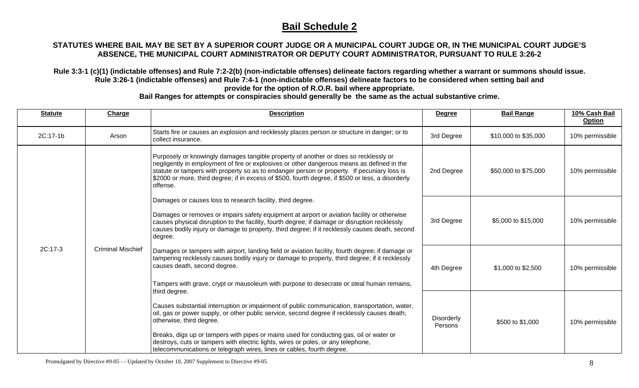### **STATUTES WHERE BAIL MAY BE SET BY A SUPERIOR COURT JUDGE OR A MUNICIPAL COURT JUDGE OR, IN THE MUNICIPAL COURT JUDGE'S ABSENCE, THE MUNICIPAL COURT ADMINISTRATOR OR DEPUTY COURT ADMINISTRATOR, PURSUANT TO RULE 3:26-2**

**Rule 3:3-1 (c)(1) (indictable offenses) and Rule 7:2-2(b) (non-indictable offenses) delineate factors regarding whether a warrant or summons should issue. Rule 3:26-1 (indictable offenses) and Rule 7:4-1 (non-indictable offenses) delineate factors to be considered when setting bail and provide for the option of R.O.R. bail where appropriate.** 

| <b>Statute</b> | Charge                   | <b>Description</b>                                                                                                                                                                                                                                                                                                                                                                                  | <b>Degree</b>                | <b>Bail Range</b>    | 10% Cash Bail<br><b>Option</b> |
|----------------|--------------------------|-----------------------------------------------------------------------------------------------------------------------------------------------------------------------------------------------------------------------------------------------------------------------------------------------------------------------------------------------------------------------------------------------------|------------------------------|----------------------|--------------------------------|
| 2C:17-1b       | Arson                    | Starts fire or causes an explosion and recklessly places person or structure in danger; or to<br>collect insurance.                                                                                                                                                                                                                                                                                 | 3rd Degree                   | \$10,000 to \$35,000 | 10% permissible                |
| 2C:17-3        | <b>Criminal Mischief</b> | Purposely or knowingly damages tangible property of another or does so recklessly or<br>negligently in employment of fire or explosives or other dangerous means as defined in the<br>statute or tampers with property so as to endanger person or property. If pecuniary loss is<br>\$2000 or more, third degree; if in excess of \$500, fourth degree, if \$500 or less, a disorderly<br>offense. | 2nd Degree                   | \$50,000 to \$75,000 | 10% permissible                |
|                |                          | Damages or causes loss to research facility, third degree.                                                                                                                                                                                                                                                                                                                                          |                              |                      |                                |
|                |                          | Damages or removes or impairs safety equipment at airport or aviation facility or otherwise<br>causes physical disruption to the facility, fourth degree; if damage or disruption recklessly<br>causes bodily injury or damage to property, third degree; if it recklessly causes death, second<br>degree.                                                                                          | 3rd Degree                   | \$5,000 to \$15,000  | 10% permissible                |
|                |                          | Damages or tampers with airport, landing field or aviation facility, fourth degree; if damage or<br>tampering recklessly causes bodily injury or damage to property, third degree; if it recklessly<br>causes death, second degree.                                                                                                                                                                 | 4th Degree                   | \$1,000 to \$2,500   | 10% permissible                |
|                |                          | Tampers with grave, crypt or mausoleum with purpose to desecrate or steal human remains,<br>third degree.                                                                                                                                                                                                                                                                                           |                              |                      |                                |
|                |                          | Causes substantial interruption or impairment of public communication, transportation, water,<br>oil, gas or power supply, or other public service, second degree if recklessly causes death;<br>otherwise, third degree.                                                                                                                                                                           | <b>Disorderly</b><br>Persons | \$500 to \$1,000     | 10% permissible                |
|                |                          | Breaks, digs up or tampers with pipes or mains used for conducting gas, oil or water or<br>destroys, cuts or tampers with electric lights, wires or poles, or any telephone,<br>telecommunications or telegraph wires, lines or cables, fourth degree.                                                                                                                                              |                              |                      |                                |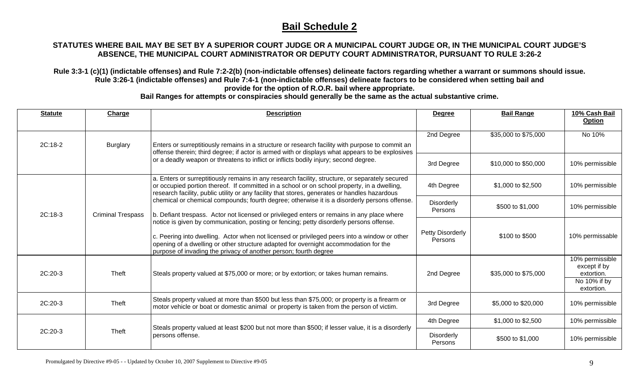### **STATUTES WHERE BAIL MAY BE SET BY A SUPERIOR COURT JUDGE OR A MUNICIPAL COURT JUDGE OR, IN THE MUNICIPAL COURT JUDGE'S ABSENCE, THE MUNICIPAL COURT ADMINISTRATOR OR DEPUTY COURT ADMINISTRATOR, PURSUANT TO RULE 3:26-2**

**Rule 3:3-1 (c)(1) (indictable offenses) and Rule 7:2-2(b) (non-indictable offenses) delineate factors regarding whether a warrant or summons should issue. Rule 3:26-1 (indictable offenses) and Rule 7:4-1 (non-indictable offenses) delineate factors to be considered when setting bail and provide for the option of R.O.R. bail where appropriate.** 

| <b>Statute</b> | Charge                   | <b>Description</b>                                                                                                                                                                                                                                                                                                                                  | <b>Degree</b>                | <b>Bail Range</b>    | 10% Cash Bail<br><b>Option</b>                                              |
|----------------|--------------------------|-----------------------------------------------------------------------------------------------------------------------------------------------------------------------------------------------------------------------------------------------------------------------------------------------------------------------------------------------------|------------------------------|----------------------|-----------------------------------------------------------------------------|
| $2C:18-2$      | <b>Burglary</b>          | Enters or surreptitiously remains in a structure or research facility with purpose to commit an                                                                                                                                                                                                                                                     | 2nd Degree                   | \$35,000 to \$75,000 | No 10%                                                                      |
|                |                          | offense therein; third degree; if actor is armed with or displays what appears to be explosives<br>or a deadly weapon or threatens to inflict or inflicts bodily injury; second degree.                                                                                                                                                             | 3rd Degree                   | \$10,000 to \$50,000 | 10% permissible                                                             |
| 2C:18-3        | <b>Criminal Trespass</b> | a. Enters or surreptitiously remains in any research facility, structure, or separately secured<br>or occupied portion thereof. If committed in a school or on school property, in a dwelling,<br>research facility, public utility or any facility that stores, generates or handles hazardous                                                     | 4th Degree                   | \$1,000 to \$2,500   | 10% permissible                                                             |
|                |                          | chemical or chemical compounds; fourth degree; otherwise it is a disorderly persons offense.<br>b. Defiant trespass. Actor not licensed or privileged enters or remains in any place where                                                                                                                                                          | <b>Disorderly</b><br>Persons | \$500 to \$1,000     | 10% permissible                                                             |
|                |                          | notice is given by communication, posting or fencing; petty disorderly persons offense.<br>c. Peering into dwelling. Actor when not licensed or privileged peers into a window or other<br>opening of a dwelling or other structure adapted for overnight accommodation for the<br>purpose of invading the privacy of another person; fourth degree | Petty Disorderly<br>Persons  | \$100 to \$500       | 10% permissable                                                             |
| 2C:20-3        | Theft                    | Steals property valued at \$75,000 or more; or by extortion; or takes human remains.                                                                                                                                                                                                                                                                | 2nd Degree                   | \$35,000 to \$75,000 | 10% permissible<br>except if by<br>extortion.<br>No 10% if by<br>extortion. |
| 2C:20-3        | Theft                    | Steals property valued at more than \$500 but less than \$75,000; or property is a firearm or<br>motor vehicle or boat or domestic animal or property is taken from the person of victim.                                                                                                                                                           | 3rd Degree                   | \$5,000 to \$20,000  | 10% permissible                                                             |
|                |                          |                                                                                                                                                                                                                                                                                                                                                     | 4th Degree                   | \$1,000 to \$2,500   | 10% permissible                                                             |
| 2C:20-3        | Theft                    | Steals property valued at least \$200 but not more than \$500; if lesser value, it is a disorderly<br>persons offense.                                                                                                                                                                                                                              | <b>Disorderly</b><br>Persons | \$500 to \$1,000     | 10% permissible                                                             |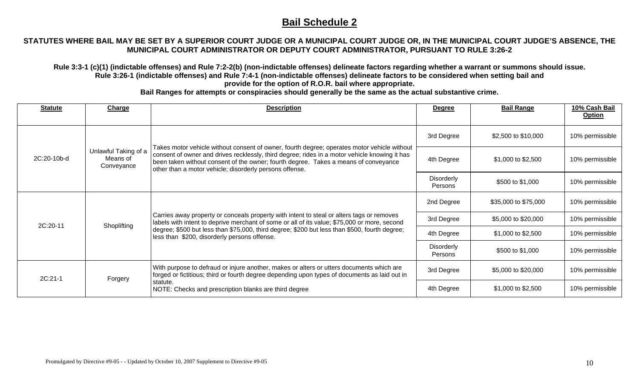### **STATUTES WHERE BAIL MAY BE SET BY A SUPERIOR COURT JUDGE OR A MUNICIPAL COURT JUDGE OR, IN THE MUNICIPAL COURT JUDGE'S ABSENCE, THE MUNICIPAL COURT ADMINISTRATOR OR DEPUTY COURT ADMINISTRATOR, PURSUANT TO RULE 3:26-2**

**Rule 3:3-1 (c)(1) (indictable offenses) and Rule 7:2-2(b) (non-indictable offenses) delineate factors regarding whether a warrant or summons should issue. Rule 3:26-1 (indictable offenses) and Rule 7:4-1 (non-indictable offenses) delineate factors to be considered when setting bail and provide for the option of R.O.R. bail where appropriate.** 

| <b>Statute</b> | Charge                                         | <b>Description</b>                                                                                                                                                                                                                                                                                                                                        | <b>Degree</b>                | <b>Bail Range</b>    | 10% Cash Bail<br><b>Option</b> |
|----------------|------------------------------------------------|-----------------------------------------------------------------------------------------------------------------------------------------------------------------------------------------------------------------------------------------------------------------------------------------------------------------------------------------------------------|------------------------------|----------------------|--------------------------------|
| 2C:20-10b-d    |                                                | Takes motor vehicle without consent of owner, fourth degree; operates motor vehicle without<br>consent of owner and drives recklessly, third degree; rides in a motor vehicle knowing it has<br>been taken without consent of the owner; fourth degree. Takes a means of conveyance<br>other than a motor vehicle; disorderly persons offense.            | 3rd Degree                   | \$2,500 to \$10,000  | 10% permissible                |
|                | Unlawful Taking of a<br>Means of<br>Conveyance |                                                                                                                                                                                                                                                                                                                                                           | 4th Degree                   | \$1,000 to \$2,500   | 10% permissible                |
|                |                                                |                                                                                                                                                                                                                                                                                                                                                           | <b>Disorderly</b><br>Persons | \$500 to \$1,000     | 10% permissible                |
|                |                                                | Carries away property or conceals property with intent to steal or alters tags or removes<br>labels with intent to deprive merchant of some or all of its value; \$75,000 or more, second<br>Shoplifting<br>degree; \$500 but less than \$75,000, third degree; \$200 but less than \$500, fourth degree;<br>less than \$200, disorderly persons offense. | 2nd Degree                   | \$35,000 to \$75,000 | 10% permissible                |
| 2C:20-11       |                                                |                                                                                                                                                                                                                                                                                                                                                           | 3rd Degree                   | \$5,000 to \$20,000  | 10% permissible                |
|                |                                                |                                                                                                                                                                                                                                                                                                                                                           | 4th Degree                   | \$1,000 to \$2,500   | 10% permissible                |
|                |                                                |                                                                                                                                                                                                                                                                                                                                                           | Disorderly<br>Persons        | \$500 to \$1,000     | 10% permissible                |
| 2C:21-1        | Forgery                                        | With purpose to defraud or injure another, makes or alters or utters documents which are<br>forged or fictitious; third or fourth degree depending upon types of documents as laid out in<br>statute.<br>NOTE: Checks and prescription blanks are third degree                                                                                            | 3rd Degree                   | \$5,000 to \$20,000  | 10% permissible                |
|                |                                                |                                                                                                                                                                                                                                                                                                                                                           | 4th Degree                   | \$1,000 to \$2,500   | 10% permissible                |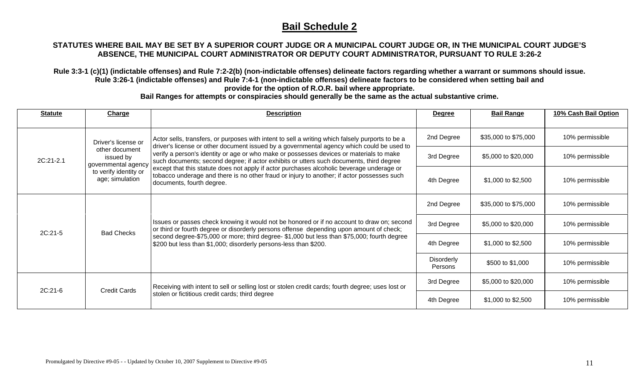#### **STATUTES WHERE BAIL MAY BE SET BY A SUPERIOR COURT JUDGE OR A MUNICIPAL COURT JUDGE OR, IN THE MUNICIPAL COURT JUDGE'S ABSENCE, THE MUNICIPAL COURT ADMINISTRATOR OR DEPUTY COURT ADMINISTRATOR, PURSUANT TO RULE 3:26-2**

**Rule 3:3-1 (c)(1) (indictable offenses) and Rule 7:2-2(b) (non-indictable offenses) delineate factors regarding whether a warrant or summons should issue. Rule 3:26-1 (indictable offenses) and Rule 7:4-1 (non-indictable offenses) delineate factors to be considered when setting bail and provide for the option of R.O.R. bail where appropriate.** 

| <b>Statute</b> | Charge                                             | <b>Description</b>                                                                                                                                                                                                                                                                                                                                                                                                                                                                                                                                                                                          | <b>Degree</b>                | <b>Bail Range</b>    | 10% Cash Bail Option |
|----------------|----------------------------------------------------|-------------------------------------------------------------------------------------------------------------------------------------------------------------------------------------------------------------------------------------------------------------------------------------------------------------------------------------------------------------------------------------------------------------------------------------------------------------------------------------------------------------------------------------------------------------------------------------------------------------|------------------------------|----------------------|----------------------|
|                | Driver's license or                                | Actor sells, transfers, or purposes with intent to sell a writing which falsely purports to be a<br>driver's license or other document issued by a governmental agency which could be used to<br>verify a person's identity or age or who make or possesses devices or materials to make<br>such documents; second degree; if actor exhibits or utters such documents, third degree<br>except that this statute does not apply if actor purchases alcoholic beverage underage or<br>tobacco underage and there is no other fraud or injury to another; if actor possesses such<br>documents, fourth degree. | 2nd Degree                   | \$35,000 to \$75,000 | 10% permissible      |
| 2C:21-2.1      | other document<br>issued by<br>governmental agency |                                                                                                                                                                                                                                                                                                                                                                                                                                                                                                                                                                                                             | 3rd Degree                   | \$5,000 to \$20,000  | 10% permissible      |
|                | to verify identity or<br>age; simulation           |                                                                                                                                                                                                                                                                                                                                                                                                                                                                                                                                                                                                             | 4th Degree                   | \$1,000 to \$2,500   | 10% permissible      |
| 2C:21-5        | <b>Bad Checks</b>                                  | Issues or passes check knowing it would not be honored or if no account to draw on; second<br>or third or fourth degree or disorderly persons offense depending upon amount of check;<br>second degree-\$75,000 or more; third degree- \$1,000 but less than \$75,000; fourth degree<br>\$200 but less than \$1,000; disorderly persons-less than \$200.                                                                                                                                                                                                                                                    | 2nd Degree                   | \$35,000 to \$75,000 | 10% permissible      |
|                |                                                    |                                                                                                                                                                                                                                                                                                                                                                                                                                                                                                                                                                                                             | 3rd Degree                   | \$5,000 to \$20,000  | 10% permissible      |
|                |                                                    |                                                                                                                                                                                                                                                                                                                                                                                                                                                                                                                                                                                                             | 4th Degree                   | \$1,000 to \$2,500   | 10% permissible      |
|                |                                                    |                                                                                                                                                                                                                                                                                                                                                                                                                                                                                                                                                                                                             | Disorderly<br><b>Persons</b> | \$500 to \$1,000     | 10% permissible      |
| 2C:21-6        |                                                    | Receiving with intent to sell or selling lost or stolen credit cards; fourth degree; uses lost or<br><b>Credit Cards</b><br>stolen or fictitious credit cards; third degree                                                                                                                                                                                                                                                                                                                                                                                                                                 | 3rd Degree                   | \$5,000 to \$20,000  | 10% permissible      |
|                |                                                    |                                                                                                                                                                                                                                                                                                                                                                                                                                                                                                                                                                                                             | 4th Degree                   | \$1,000 to \$2,500   | 10% permissible      |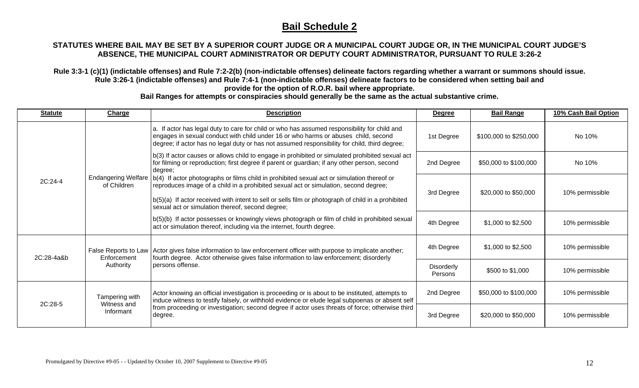#### **STATUTES WHERE BAIL MAY BE SET BY A SUPERIOR COURT JUDGE OR A MUNICIPAL COURT JUDGE OR, IN THE MUNICIPAL COURT JUDGE'S ABSENCE, THE MUNICIPAL COURT ADMINISTRATOR OR DEPUTY COURT ADMINISTRATOR, PURSUANT TO RULE 3:26-2**

**Rule 3:3-1 (c)(1) (indictable offenses) and Rule 7:2-2(b) (non-indictable offenses) delineate factors regarding whether a warrant or summons should issue. Rule 3:26-1 (indictable offenses) and Rule 7:4-1 (non-indictable offenses) delineate factors to be considered when setting bail and provide for the option of R.O.R. bail where appropriate.** 

| <b>Statute</b> | <b>Charge</b>                              | <b>Description</b>                                                                                                                                                                                                                                                                                                                                                     | <b>Degree</b>         | <b>Bail Range</b>      | 10% Cash Bail Option |
|----------------|--------------------------------------------|------------------------------------------------------------------------------------------------------------------------------------------------------------------------------------------------------------------------------------------------------------------------------------------------------------------------------------------------------------------------|-----------------------|------------------------|----------------------|
| 2C:24-4        |                                            | a. If actor has legal duty to care for child or who has assumed responsibility for child and<br>engages in sexual conduct with child under 16 or who harms or abuses child, second<br>degree; if actor has no legal duty or has not assumed responsibility for child, third degree;                                                                                    | 1st Degree            | \$100,000 to \$250,000 | No 10%               |
|                |                                            | b(3) If actor causes or allows child to engage in prohibited or simulated prohibited sexual act<br>for filming or reproduction; first degree if parent or guardian; if any other person, second<br>degree;                                                                                                                                                             | 2nd Degree            | \$50,000 to \$100,000  | No 10%               |
|                | of Children                                | Endangering Welfare   b(4) If actor photographs or films child in prohibited sexual act or simulation thereof or<br>reproduces image of a child in a prohibited sexual act or simulation, second degree;<br>$ b(5)(a) $ If actor received with intent to sell or sells film or photograph of child in a prohibited<br>sexual act or simulation thereof, second degree; | 3rd Degree            | \$20,000 to \$50,000   | 10% permissible      |
|                |                                            | b(5)(b) If actor possesses or knowingly views photograph or film of child in prohibited sexual<br>act or simulation thereof, including via the internet, fourth degree.                                                                                                                                                                                                | 4th Degree            | \$1,000 to \$2,500     | 10% permissible      |
| $2C:28-4a8b$   | Enforcement<br>Authority                   | False Reports to Law Actor gives false information to law enforcement officer with purpose to implicate another;<br>fourth degree. Actor otherwise gives false information to law enforcement; disorderly<br>persons offense.                                                                                                                                          | 4th Degree            | \$1,000 to \$2,500     | 10% permissible      |
|                |                                            |                                                                                                                                                                                                                                                                                                                                                                        | Disorderly<br>Persons | \$500 to \$1,000       | 10% permissible      |
| 2C:28-5        | Tampering with<br>Witness and<br>Informant | Actor knowing an official investigation is proceeding or is about to be instituted, attempts to<br>induce witness to testify falsely, or withhold evidence or elude legal subpoenas or absent self                                                                                                                                                                     | 2nd Degree            | \$50,000 to \$100,000  | 10% permissible      |
|                |                                            | from proceeding or investigation; second degree if actor uses threats of force; otherwise third<br>degree.                                                                                                                                                                                                                                                             | 3rd Degree            | \$20,000 to \$50,000   | 10% permissible      |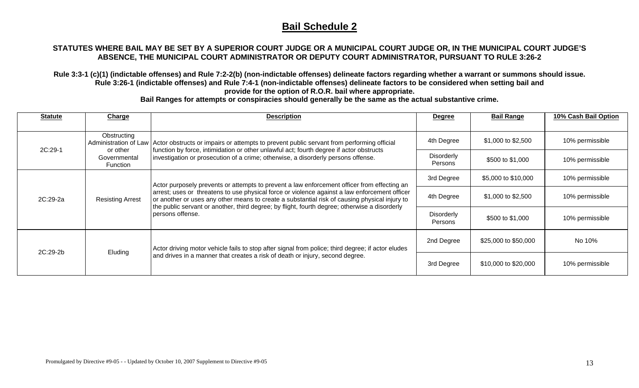#### **STATUTES WHERE BAIL MAY BE SET BY A SUPERIOR COURT JUDGE OR A MUNICIPAL COURT JUDGE OR, IN THE MUNICIPAL COURT JUDGE'S ABSENCE, THE MUNICIPAL COURT ADMINISTRATOR OR DEPUTY COURT ADMINISTRATOR, PURSUANT TO RULE 3:26-2**

**Rule 3:3-1 (c)(1) (indictable offenses) and Rule 7:2-2(b) (non-indictable offenses) delineate factors regarding whether a warrant or summons should issue. Rule 3:26-1 (indictable offenses) and Rule 7:4-1 (non-indictable offenses) delineate factors to be considered when setting bail and provide for the option of R.O.R. bail where appropriate.** 

| <b>Statute</b> | <b>Charge</b>                        | <b>Description</b>                                                                                                                                                                                                                                                                                                                                                                                                 | <b>Degree</b>                       | <b>Bail Range</b>    | 10% Cash Bail Option |
|----------------|--------------------------------------|--------------------------------------------------------------------------------------------------------------------------------------------------------------------------------------------------------------------------------------------------------------------------------------------------------------------------------------------------------------------------------------------------------------------|-------------------------------------|----------------------|----------------------|
|                |                                      |                                                                                                                                                                                                                                                                                                                                                                                                                    |                                     |                      |                      |
|                | Obstructing<br>Administration of Law | Actor obstructs or impairs or attempts to prevent public servant from performing official                                                                                                                                                                                                                                                                                                                          | 4th Degree                          | \$1,000 to \$2,500   | 10% permissible      |
| 2C:29-1        | or other<br>Governmental<br>Function | function by force, intimidation or other unlawful act; fourth degree if actor obstructs<br>investigation or prosecution of a crime; otherwise, a disorderly persons offense.                                                                                                                                                                                                                                       | <b>Disorderly</b><br>Persons        | \$500 to \$1,000     | 10% permissible      |
| 2C:29-2a       | <b>Resisting Arrest</b>              | Actor purposely prevents or attempts to prevent a law enforcement officer from effecting an<br>arrest; uses or threatens to use physical force or violence against a law enforcement officer<br>or another or uses any other means to create a substantial risk of causing physical injury to<br>the public servant or another, third degree; by flight, fourth degree; otherwise a disorderly<br>persons offense. | 3rd Degree                          | \$5,000 to \$10,000  | 10% permissible      |
|                |                                      |                                                                                                                                                                                                                                                                                                                                                                                                                    | 4th Degree                          | \$1,000 to \$2,500   | 10% permissible      |
|                |                                      |                                                                                                                                                                                                                                                                                                                                                                                                                    | <b>Disorderly</b><br><b>Persons</b> | \$500 to \$1,000     | 10% permissible      |
| $2C:29-2b$     | Eluding                              | Actor driving motor vehicle fails to stop after signal from police; third degree; if actor eludes<br>and drives in a manner that creates a risk of death or injury, second degree.                                                                                                                                                                                                                                 | 2nd Degree                          | \$25,000 to \$50,000 | No 10%               |
|                |                                      |                                                                                                                                                                                                                                                                                                                                                                                                                    | 3rd Degree                          | \$10,000 to \$20,000 | 10% permissible      |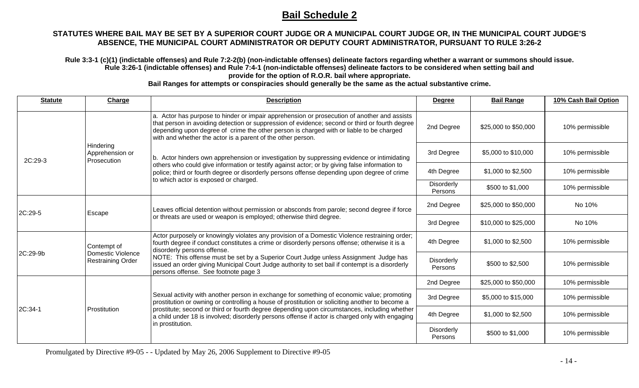#### **STATUTES WHERE BAIL MAY BE SET BY A SUPERIOR COURT JUDGE OR A MUNICIPAL COURT JUDGE OR, IN THE MUNICIPAL COURT JUDGE'S ABSENCE, THE MUNICIPAL COURT ADMINISTRATOR OR DEPUTY COURT ADMINISTRATOR, PURSUANT TO RULE 3:26-2**

**Rule 3:3-1 (c)(1) (indictable offenses) and Rule 7:2-2(b) (non-indictable offenses) delineate factors regarding whether a warrant or summons should issue. Rule 3:26-1 (indictable offenses) and Rule 7:4-1 (non-indictable offenses) delineate factors to be considered when setting bail and provide for the option of R.O.R. bail where appropriate.** 

**Bail Ranges for attempts or conspiracies should generally be the same as the actual substantive crime.** 

| <b>Statute</b> | Charge                                        | <b>Description</b>                                                                                                                                                                                                                                                                                                                                                                                                   | <b>Degree</b>                | <b>Bail Range</b>    | 10% Cash Bail Option |
|----------------|-----------------------------------------------|----------------------------------------------------------------------------------------------------------------------------------------------------------------------------------------------------------------------------------------------------------------------------------------------------------------------------------------------------------------------------------------------------------------------|------------------------------|----------------------|----------------------|
|                |                                               | a. Actor has purpose to hinder or impair apprehension or prosecution of another and assists<br>that person in avoiding detection or suppression of evidence; second or third or fourth degree<br>depending upon degree of crime the other person is charged with or liable to be charged<br>with and whether the actor is a parent of the other person.                                                              | 2nd Degree                   | \$25,000 to \$50,000 | 10% permissible      |
| 2C:29-3        | Hindering<br>Apprehension or<br>Prosecution   | b. Actor hinders own apprehension or investigation by suppressing evidence or intimidating                                                                                                                                                                                                                                                                                                                           | 3rd Degree                   | \$5,000 to \$10,000  | 10% permissible      |
|                |                                               | others who could give information or testify against actor; or by giving false information to<br>police; third or fourth degree or disorderly persons offense depending upon degree of crime<br>to which actor is exposed or charged.                                                                                                                                                                                | 4th Degree                   | \$1,000 to \$2,500   | 10% permissible      |
|                |                                               |                                                                                                                                                                                                                                                                                                                                                                                                                      | Disorderly<br>Persons        | \$500 to \$1,000     | 10% permissible      |
| 2C:29-5        | Escape                                        | Leaves official detention without permission or absconds from parole; second degree if force<br>or threats are used or weapon is employed; otherwise third degree.                                                                                                                                                                                                                                                   | 2nd Degree                   | \$25,000 to \$50,000 | No 10%               |
|                |                                               |                                                                                                                                                                                                                                                                                                                                                                                                                      | 3rd Degree                   | \$10,000 to \$25,000 | No 10%               |
|                | Contempt of                                   | Actor purposely or knowingly violates any provision of a Domestic Violence restraining order;<br>fourth degree if conduct constitutes a crime or disorderly persons offense; otherwise it is a<br>disorderly persons offense.                                                                                                                                                                                        | 4th Degree                   | \$1,000 to \$2,500   | 10% permissible      |
| 2C:29-9b       | Domestic Violence<br><b>Restraining Order</b> | NOTE: This offense must be set by a Superior Court Judge unless Assignment Judge has<br>issued an order giving Municipal Court Judge authority to set bail if contempt is a disorderly<br>persons offense. See footnote page 3                                                                                                                                                                                       | Disorderly<br>Persons        | \$500 to \$2,500     | 10% permissible      |
|                |                                               | Sexual activity with another person in exchange for something of economic value; promoting<br>prostitution or owning or controlling a house of prostitution or soliciting another to become a<br>prostitute; second or third or fourth degree depending upon circumstances, including whether<br>a child under 18 is involved; disorderly persons offense if actor is charged only with engaging<br>in prostitution. | 2nd Degree                   | \$25,000 to \$50,000 | 10% permissible      |
|                |                                               |                                                                                                                                                                                                                                                                                                                                                                                                                      | 3rd Degree                   | \$5,000 to \$15,000  | 10% permissible      |
| 2C:34-1        | Prostitution                                  |                                                                                                                                                                                                                                                                                                                                                                                                                      | 4th Degree                   | \$1,000 to \$2,500   | 10% permissible      |
|                |                                               |                                                                                                                                                                                                                                                                                                                                                                                                                      | <b>Disorderly</b><br>Persons | \$500 to \$1,000     | 10% permissible      |

Promulgated by Directive #9-05 - - Updated by May 26, 2006 Supplement to Directive #9-05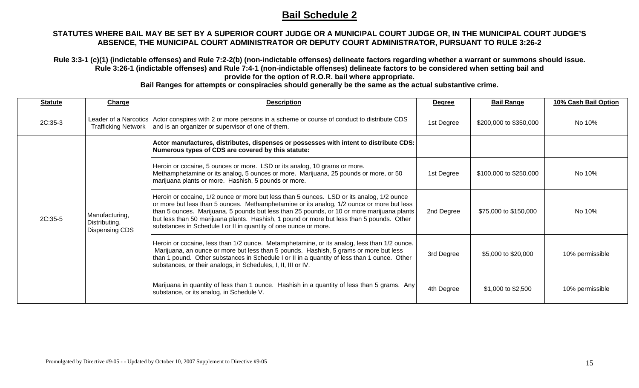#### **STATUTES WHERE BAIL MAY BE SET BY A SUPERIOR COURT JUDGE OR A MUNICIPAL COURT JUDGE OR, IN THE MUNICIPAL COURT JUDGE'S ABSENCE, THE MUNICIPAL COURT ADMINISTRATOR OR DEPUTY COURT ADMINISTRATOR, PURSUANT TO RULE 3:26-2**

**Rule 3:3-1 (c)(1) (indictable offenses) and Rule 7:2-2(b) (non-indictable offenses) delineate factors regarding whether a warrant or summons should issue. Rule 3:26-1 (indictable offenses) and Rule 7:4-1 (non-indictable offenses) delineate factors to be considered when setting bail and provide for the option of R.O.R. bail where appropriate.** 

| <b>Statute</b> | Charge                                            | <b>Description</b>                                                                                                                                                                                                                                                                                                                                                                                                                                    | <b>Degree</b> | <b>Bail Range</b>      | 10% Cash Bail Option |
|----------------|---------------------------------------------------|-------------------------------------------------------------------------------------------------------------------------------------------------------------------------------------------------------------------------------------------------------------------------------------------------------------------------------------------------------------------------------------------------------------------------------------------------------|---------------|------------------------|----------------------|
| 2C:35-3        |                                                   | Leader of a Narcotics Actor conspires with 2 or more persons in a scheme or course of conduct to distribute CDS<br>Trafficking Network and is an organizer or supervisor of one of them.                                                                                                                                                                                                                                                              | 1st Degree    | \$200,000 to \$350,000 | No 10%               |
|                | Manufacturing,<br>Distributing,<br>Dispensing CDS | Actor manufactures, distributes, dispenses or possesses with intent to distribute CDS:<br>Numerous types of CDS are covered by this statute:                                                                                                                                                                                                                                                                                                          |               |                        |                      |
|                |                                                   | Heroin or cocaine, 5 ounces or more. LSD or its analog, 10 grams or more.<br>Methamphetamine or its analog, 5 ounces or more. Marijuana, 25 pounds or more, or 50<br>marijuana plants or more. Hashish, 5 pounds or more.                                                                                                                                                                                                                             | 1st Degree    | \$100,000 to \$250,000 | No 10%               |
| 2C:35-5        |                                                   | Heroin or cocaine, 1/2 ounce or more but less than 5 ounces. LSD or its analog, 1/2 ounce<br>or more but less than 5 ounces. Methamphetamine or its analog, 1/2 ounce or more but less<br>than 5 ounces. Marijuana, 5 pounds but less than 25 pounds, or 10 or more marijuana plants<br>but less than 50 marijuana plants. Hashish, 1 pound or more but less than 5 pounds. Other<br>substances in Schedule I or II in quantity of one ounce or more. | 2nd Degree    | \$75,000 to \$150,000  | No 10%               |
|                |                                                   | Heroin or cocaine, less than 1/2 ounce. Metamphetamine, or its analog, less than 1/2 ounce.<br>Marijuana, an ounce or more but less than 5 pounds. Hashish, 5 grams or more but less<br>than 1 pound. Other substances in Schedule I or II in a quantity of less than 1 ounce. Other<br>substances, or their analogs, in Schedules, I, II, III or IV.                                                                                                 | 3rd Degree    | \$5,000 to \$20,000    | 10% permissible      |
|                |                                                   | Marijuana in quantity of less than 1 ounce. Hashish in a quantity of less than 5 grams. Any<br>substance, or its analog, in Schedule V.                                                                                                                                                                                                                                                                                                               | 4th Degree    | \$1,000 to \$2,500     | 10% permissible      |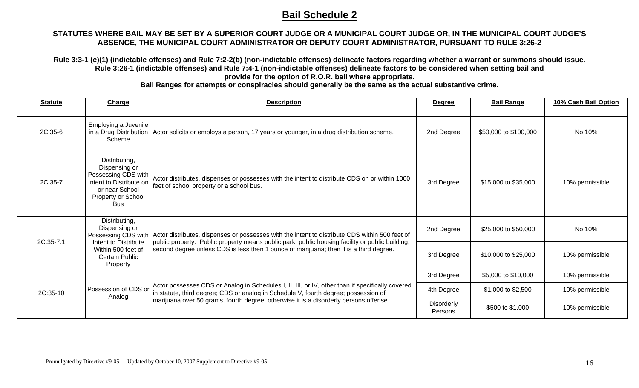#### **STATUTES WHERE BAIL MAY BE SET BY A SUPERIOR COURT JUDGE OR A MUNICIPAL COURT JUDGE OR, IN THE MUNICIPAL COURT JUDGE'S ABSENCE, THE MUNICIPAL COURT ADMINISTRATOR OR DEPUTY COURT ADMINISTRATOR, PURSUANT TO RULE 3:26-2**

**Rule 3:3-1 (c)(1) (indictable offenses) and Rule 7:2-2(b) (non-indictable offenses) delineate factors regarding whether a warrant or summons should issue. Rule 3:26-1 (indictable offenses) and Rule 7:4-1 (non-indictable offenses) delineate factors to be considered when setting bail and provide for the option of R.O.R. bail where appropriate.** 

| <b>Statute</b> | <b>Charge</b>                                                                                                                          | <b>Description</b>                                                                                                                                                                                                                                                                                                | <b>Degree</b>         | <b>Bail Range</b>     | 10% Cash Bail Option |
|----------------|----------------------------------------------------------------------------------------------------------------------------------------|-------------------------------------------------------------------------------------------------------------------------------------------------------------------------------------------------------------------------------------------------------------------------------------------------------------------|-----------------------|-----------------------|----------------------|
| 2C:35-6        | Employing a Juvenile<br>Scheme                                                                                                         | in a Drug Distribution   Actor solicits or employs a person, 17 years or younger, in a drug distribution scheme.                                                                                                                                                                                                  | 2nd Degree            | \$50,000 to \$100,000 | No 10%               |
| 2C:35-7        | Distributing,<br>Dispensing or<br>Possessing CDS with<br>Intent to Distribute on<br>or near School<br>Property or School<br><b>Bus</b> | Actor distributes, dispenses or possesses with the intent to distribute CDS on or within 1000<br>feet of school property or a school bus.                                                                                                                                                                         | 3rd Degree            | \$15,000 to \$35,000  | 10% permissible      |
| 2C:35-7.1      | Distributing,<br>Dispensing or<br>Intent to Distribute                                                                                 | Possessing CDS with   Actor distributes, dispenses or possesses with the intent to distribute CDS within 500 feet of<br>public property. Public property means public park, public housing facility or public building;<br>second degree unless CDS is less then 1 ounce of marijuana; then it is a third degree. | 2nd Degree            | \$25,000 to \$50,000  | No 10%               |
|                | Within 500 feet of<br><b>Certain Public</b><br>Property                                                                                |                                                                                                                                                                                                                                                                                                                   | 3rd Degree            | \$10,000 to \$25,000  | 10% permissible      |
|                |                                                                                                                                        |                                                                                                                                                                                                                                                                                                                   | 3rd Degree            | \$5,000 to \$10,000   | 10% permissible      |
| 2C:35-10       | Possession of CDS or                                                                                                                   | Actor possesses CDS or Analog in Schedules I, II, III, or IV, other than if specifically covered<br>in statute, third degree; CDS or analog in Schedule V, fourth degree; possession of<br>marijuana over 50 grams, fourth degree; otherwise it is a disorderly persons offense.                                  | 4th Degree            | \$1,000 to \$2,500    | 10% permissible      |
|                | Analog                                                                                                                                 |                                                                                                                                                                                                                                                                                                                   | Disorderly<br>Persons | \$500 to \$1,000      | 10% permissible      |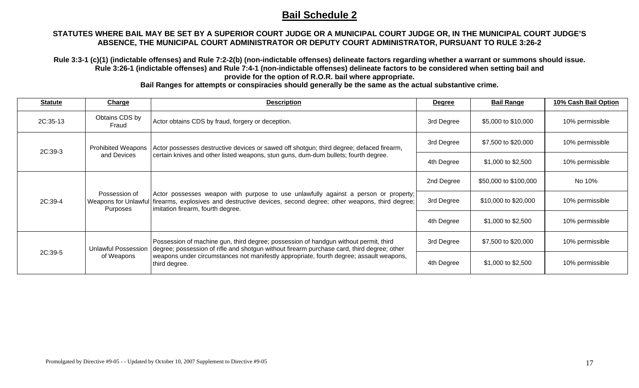#### **STATUTES WHERE BAIL MAY BE SET BY A SUPERIOR COURT JUDGE OR A MUNICIPAL COURT JUDGE OR, IN THE MUNICIPAL COURT JUDGE'S ABSENCE, THE MUNICIPAL COURT ADMINISTRATOR OR DEPUTY COURT ADMINISTRATOR, PURSUANT TO RULE 3:26-2**

**Rule 3:3-1 (c)(1) (indictable offenses) and Rule 7:2-2(b) (non-indictable offenses) delineate factors regarding whether a warrant or summons should issue. Rule 3:26-1 (indictable offenses) and Rule 7:4-1 (non-indictable offenses) delineate factors to be considered when setting bail and provide for the option of R.O.R. bail where appropriate.** 

| <b>Statute</b>                                                     | Charge                     | <b>Description</b>                                                                                                                                                                                                                                                                             | <b>Degree</b> | <b>Bail Range</b>     | 10% Cash Bail Option |
|--------------------------------------------------------------------|----------------------------|------------------------------------------------------------------------------------------------------------------------------------------------------------------------------------------------------------------------------------------------------------------------------------------------|---------------|-----------------------|----------------------|
| 2C:35-13                                                           | Obtains CDS by<br>Fraud    | Actor obtains CDS by fraud, forgery or deception.                                                                                                                                                                                                                                              | 3rd Degree    | \$5,000 to \$10,000   | 10% permissible      |
| 2C:39-3                                                            | <b>Prohibited Weapons</b>  | Actor possesses destructive devices or sawed off shotgun; third degree; defaced firearm,                                                                                                                                                                                                       | 3rd Degree    | \$7,500 to \$20,000   | 10% permissible      |
| and Devices                                                        |                            | certain knives and other listed weapons, stun guns, dum-dum bullets; fourth degree.                                                                                                                                                                                                            | 4th Degree    | \$1,000 to \$2,500    | 10% permissible      |
| Possession of<br>2C:39-4<br><b>Weapons for Unlawfu</b><br>Purposes |                            | Actor possesses weapon with purpose to use unlawfully against a person or property;<br>firearms, explosives and destructive devices, second degree; other weapons, third degree;<br>imitation firearm, fourth degree.                                                                          | 2nd Degree    | \$50,000 to \$100,000 | No 10%               |
|                                                                    |                            |                                                                                                                                                                                                                                                                                                | 3rd Degree    | \$10,000 to \$20,000  | 10% permissible      |
|                                                                    |                            |                                                                                                                                                                                                                                                                                                | 4th Degree    | \$1,000 to \$2,500    | 10% permissible      |
| 2C:39-5                                                            | <b>Unlawful Possession</b> | Possession of machine gun, third degree; possession of handgun without permit, third<br>degree; possession of rifle and shotgun without firearm purchase card, third degree; other<br>weapons under circumstances not manifestly appropriate, fourth degree; assault weapons,<br>third degree. | 3rd Degree    | \$7,500 to \$20,000   | 10% permissible      |
|                                                                    | of Weapons                 |                                                                                                                                                                                                                                                                                                | 4th Degree    | $$1,000$ to $$2,500$  | 10% permissible      |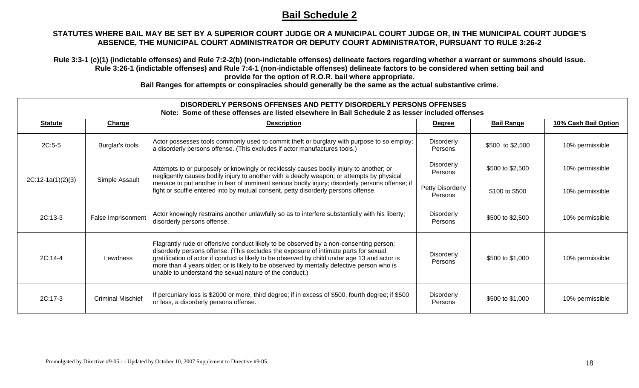#### **STATUTES WHERE BAIL MAY BE SET BY A SUPERIOR COURT JUDGE OR A MUNICIPAL COURT JUDGE OR, IN THE MUNICIPAL COURT JUDGE'S ABSENCE, THE MUNICIPAL COURT ADMINISTRATOR OR DEPUTY COURT ADMINISTRATOR, PURSUANT TO RULE 3:26-2**

**Rule 3:3-1 (c)(1) (indictable offenses) and Rule 7:2-2(b) (non-indictable offenses) delineate factors regarding whether a warrant or summons should issue. Rule 3:26-1 (indictable offenses) and Rule 7:4-1 (non-indictable offenses) delineate factors to be considered when setting bail and provide for the option of R.O.R. bail where appropriate.** 

|                     |                          | DISORDERLY PERSONS OFFENSES AND PETTY DISORDERLY PERSONS OFFENSES<br>Note: Some of these offenses are listed elsewhere in Bail Schedule 2 as lesser included offenses                                                                                                                                                                                                                                                                  |                              |                   |                      |
|---------------------|--------------------------|----------------------------------------------------------------------------------------------------------------------------------------------------------------------------------------------------------------------------------------------------------------------------------------------------------------------------------------------------------------------------------------------------------------------------------------|------------------------------|-------------------|----------------------|
| <b>Statute</b>      | <b>Charge</b>            | <b>Description</b>                                                                                                                                                                                                                                                                                                                                                                                                                     | <b>Degree</b>                | <b>Bail Range</b> | 10% Cash Bail Option |
| $2C:5-5$            | Burglar's tools          | Actor possesses tools commonly used to commit theft or burglary with purpose to so employ;<br>a disorderly persons offense. (This excludes if actor manufactures tools.)                                                                                                                                                                                                                                                               | Disorderly<br>Persons        | \$500 to \$2,500  | 10% permissible      |
|                     | Simple Assault           | Attempts to or purposely or knowingly or recklessly causes bodily injury to another; or<br>negligently causes bodily injury to another with a deadly weapon; or attempts by physical                                                                                                                                                                                                                                                   | <b>Disorderly</b><br>Persons | \$500 to \$2,500  | 10% permissible      |
| $2C:12-1a(1)(2)(3)$ |                          | menace to put another in fear of imminent serious bodily injury; disorderly persons offense; if<br>fight or scuffle entered into by mutual consent, petty disorderly persons offense.                                                                                                                                                                                                                                                  | Petty Disorderly<br>Persons  | \$100 to \$500    | 10% permissible      |
| $2C:13-3$           | False Imprisonment       | Actor knowingly restrains another unlawfully so as to interfere substantially with his liberty;<br>disorderly persons offense.                                                                                                                                                                                                                                                                                                         | Disorderly<br>Persons        | \$500 to \$2,500  | 10% permissible      |
| $2C:14-4$           | Lewdness                 | Flagrantly rude or offensive conduct likely to be observed by a non-consenting person;<br>disorderly persons offense. (This excludes the exposure of intimate parts for sexual<br>gratification of actor if conduct is likely to be observed by child under age 13 and actor is<br>more than 4 years older; or is likely to be observed by mentally defective person who is<br>unable to understand the sexual nature of the conduct.) | Disorderly<br>Persons        | \$500 to \$1,000  | 10% permissible      |
| $2C:17-3$           | <b>Criminal Mischief</b> | If percuniary loss is \$2000 or more, third degree; if in excess of \$500, fourth degree; if \$500<br>or less, a disorderly persons offense.                                                                                                                                                                                                                                                                                           | Disorderly<br>Persons        | \$500 to \$1,000  | 10% permissible      |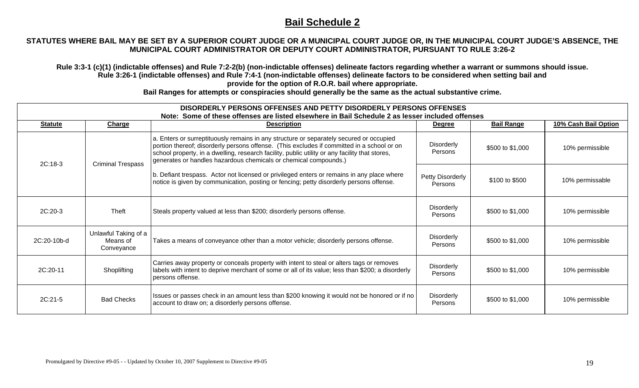#### **STATUTES WHERE BAIL MAY BE SET BY A SUPERIOR COURT JUDGE OR A MUNICIPAL COURT JUDGE OR, IN THE MUNICIPAL COURT JUDGE'S ABSENCE, THE MUNICIPAL COURT ADMINISTRATOR OR DEPUTY COURT ADMINISTRATOR, PURSUANT TO RULE 3:26-2**

**Rule 3:3-1 (c)(1) (indictable offenses) and Rule 7:2-2(b) (non-indictable offenses) delineate factors regarding whether a warrant or summons should issue. Rule 3:26-1 (indictable offenses) and Rule 7:4-1 (non-indictable offenses) delineate factors to be considered when setting bail and provide for the option of R.O.R. bail where appropriate.** 

|                |                                                | DISORDERLY PERSONS OFFENSES AND PETTY DISORDERLY PERSONS OFFENSES<br>Note: Some of these offenses are listed elsewhere in Bail Schedule 2 as lesser included offenses                                                                                                                                                                                       |                              |                   |                      |
|----------------|------------------------------------------------|-------------------------------------------------------------------------------------------------------------------------------------------------------------------------------------------------------------------------------------------------------------------------------------------------------------------------------------------------------------|------------------------------|-------------------|----------------------|
| <b>Statute</b> | Charge                                         | <b>Description</b>                                                                                                                                                                                                                                                                                                                                          | <b>Degree</b>                | <b>Bail Range</b> | 10% Cash Bail Option |
|                | <b>Criminal Trespass</b>                       | a. Enters or surreptituously remains in any structure or separately secured or occupied<br>portion thereof; disorderly persons offense. (This excludes if committed in a school or on<br>school property, in a dwelling, research facility, public utility or any facility that stores,<br>generates or handles hazardous chemicals or chemical compounds.) | <b>Disorderly</b><br>Persons | \$500 to \$1,000  | 10% permissible      |
|                | 2C:18-3                                        | b. Defiant trespass. Actor not licensed or privileged enters or remains in any place where<br>notice is given by communication, posting or fencing; petty disorderly persons offense.                                                                                                                                                                       | Petty Disorderly<br>Persons  | \$100 to \$500    | 10% permissable      |
| 2C:20-3        | Theft                                          | Steals property valued at less than \$200; disorderly persons offense.                                                                                                                                                                                                                                                                                      | <b>Disorderly</b><br>Persons | \$500 to \$1,000  | 10% permissible      |
| 2C:20-10b-d    | Unlawful Taking of a<br>Means of<br>Conveyance | Takes a means of conveyance other than a motor vehicle; disorderly persons offense.                                                                                                                                                                                                                                                                         | <b>Disorderly</b><br>Persons | \$500 to \$1,000  | 10% permissible      |
| 2C:20-11       | Shoplifting                                    | Carries away property or conceals property with intent to steal or alters tags or removes<br>labels with intent to deprive merchant of some or all of its value; less than \$200; a disorderly<br>persons offense.                                                                                                                                          | <b>Disorderly</b><br>Persons | \$500 to \$1,000  | 10% permissible      |
| 2C:21-5        | <b>Bad Checks</b>                              | Issues or passes check in an amount less than \$200 knowing it would not be honored or if no<br>account to draw on; a disorderly persons offense.                                                                                                                                                                                                           | <b>Disorderly</b><br>Persons | \$500 to \$1,000  | 10% permissible      |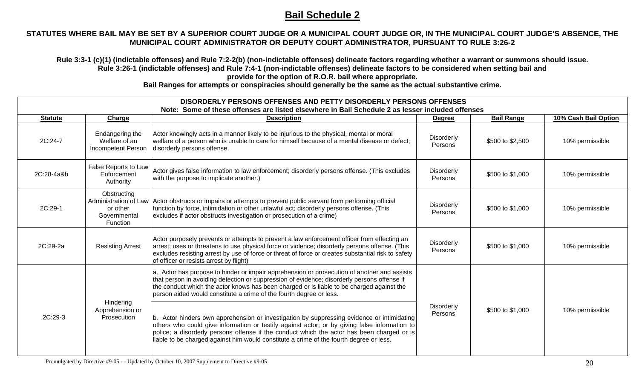#### **STATUTES WHERE BAIL MAY BE SET BY A SUPERIOR COURT JUDGE OR A MUNICIPAL COURT JUDGE OR, IN THE MUNICIPAL COURT JUDGE'S ABSENCE, THE MUNICIPAL COURT ADMINISTRATOR OR DEPUTY COURT ADMINISTRATOR, PURSUANT TO RULE 3:26-2**

**Rule 3:3-1 (c)(1) (indictable offenses) and Rule 7:2-2(b) (non-indictable offenses) delineate factors regarding whether a warrant or summons should issue. Rule 3:26-1 (indictable offenses) and Rule 7:4-1 (non-indictable offenses) delineate factors to be considered when setting bail and provide for the option of R.O.R. bail where appropriate.** 

|                                                        | DISORDERLY PERSONS OFFENSES AND PETTY DISORDERLY PERSONS OFFENSES<br>Note: Some of these offenses are listed elsewhere in Bail Schedule 2 as lesser included offenses                                                                                                                                                                                          |                                                                                                                                                                                                                                                                                                                                                                                      |                              |                   |                      |
|--------------------------------------------------------|----------------------------------------------------------------------------------------------------------------------------------------------------------------------------------------------------------------------------------------------------------------------------------------------------------------------------------------------------------------|--------------------------------------------------------------------------------------------------------------------------------------------------------------------------------------------------------------------------------------------------------------------------------------------------------------------------------------------------------------------------------------|------------------------------|-------------------|----------------------|
| <b>Statute</b>                                         | Charge                                                                                                                                                                                                                                                                                                                                                         | <b>Description</b>                                                                                                                                                                                                                                                                                                                                                                   | <b>Degree</b>                | <b>Bail Range</b> | 10% Cash Bail Option |
| 2C:24-7                                                | Endangering the<br>Welfare of an<br><b>Incompetent Person</b>                                                                                                                                                                                                                                                                                                  | Actor knowingly acts in a manner likely to be injurious to the physical, mental or moral<br>welfare of a person who is unable to care for himself because of a mental disease or defect;<br>disorderly persons offense.                                                                                                                                                              | Disorderly<br>Persons        | \$500 to \$2,500  | 10% permissible      |
| 2C:28-4a&b                                             | False Reports to Law<br>Enforcement<br>Authority                                                                                                                                                                                                                                                                                                               | Actor gives false information to law enforcement; disorderly persons offense. (This excludes<br>with the purpose to implicate another.)                                                                                                                                                                                                                                              | <b>Disorderly</b><br>Persons | \$500 to \$1,000  | 10% permissible      |
| 2C:29-1                                                | Obstructing<br>Administration of Law<br>or other<br>Governmental<br><b>Function</b>                                                                                                                                                                                                                                                                            | Actor obstructs or impairs or attempts to prevent public servant from performing official<br>function by force, intimidation or other unlawful act; disorderly persons offense. (This<br>excludes if actor obstructs investigation or prosecution of a crime)                                                                                                                        | <b>Disorderly</b><br>Persons | \$500 to \$1,000  | 10% permissible      |
| 2C:29-2a                                               | <b>Resisting Arrest</b>                                                                                                                                                                                                                                                                                                                                        | Actor purposely prevents or attempts to prevent a law enforcement officer from effecting an<br>arrest; uses or threatens to use physical force or violence; disorderly persons offense. (This<br>excludes resisting arrest by use of force or threat of force or creates substantial risk to safety<br>of officer or resists arrest by flight)                                       | <b>Disorderly</b><br>Persons | \$500 to \$1,000  | 10% permissible      |
| Hindering<br>Apprehension or<br>2C:29-3<br>Prosecution | a. Actor has purpose to hinder or impair apprehension or prosecution of another and assists<br>that person in avoiding detection or suppression of evidence; disorderly persons offense if<br>the conduct which the actor knows has been charged or is liable to be charged against the<br>person aided would constitute a crime of the fourth degree or less. |                                                                                                                                                                                                                                                                                                                                                                                      |                              |                   |                      |
|                                                        |                                                                                                                                                                                                                                                                                                                                                                | b. Actor hinders own apprehension or investigation by suppressing evidence or intimidating<br>others who could give information or testify against actor; or by giving false information to<br>police; a disorderly persons offense if the conduct which the actor has been charged or is<br>liable to be charged against him would constitute a crime of the fourth degree or less. | <b>Disorderly</b><br>Persons | \$500 to \$1,000  | 10% permissible      |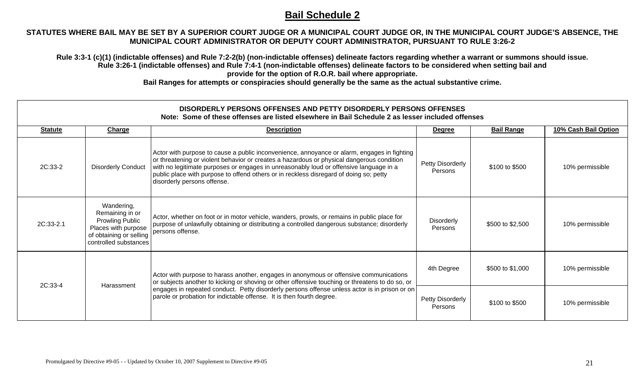#### **STATUTES WHERE BAIL MAY BE SET BY A SUPERIOR COURT JUDGE OR A MUNICIPAL COURT JUDGE OR, IN THE MUNICIPAL COURT JUDGE'S ABSENCE, THE MUNICIPAL COURT ADMINISTRATOR OR DEPUTY COURT ADMINISTRATOR, PURSUANT TO RULE 3:26-2**

**Rule 3:3-1 (c)(1) (indictable offenses) and Rule 7:2-2(b) (non-indictable offenses) delineate factors regarding whether a warrant or summons should issue. Rule 3:26-1 (indictable offenses) and Rule 7:4-1 (non-indictable offenses) delineate factors to be considered when setting bail and provide for the option of R.O.R. bail where appropriate.** 

|                |                                                                                                                                    | DISORDERLY PERSONS OFFENSES AND PETTY DISORDERLY PERSONS OFFENSES<br>Note: Some of these offenses are listed elsewhere in Bail Schedule 2 as lesser included offenses                                                                                                                                                                                                                                       |                             |                   |                      |
|----------------|------------------------------------------------------------------------------------------------------------------------------------|-------------------------------------------------------------------------------------------------------------------------------------------------------------------------------------------------------------------------------------------------------------------------------------------------------------------------------------------------------------------------------------------------------------|-----------------------------|-------------------|----------------------|
| <b>Statute</b> | <b>Charge</b>                                                                                                                      | <b>Description</b>                                                                                                                                                                                                                                                                                                                                                                                          | <b>Degree</b>               | <b>Bail Range</b> | 10% Cash Bail Option |
| 2C:33-2        | <b>Disorderly Conduct</b>                                                                                                          | Actor with purpose to cause a public inconvenience, annoyance or alarm, engages in fighting<br>or threatening or violent behavior or creates a hazardous or physical dangerous condition<br>with no legitimate purposes or engages in unreasonably loud or offensive language in a<br>public place with purpose to offend others or in reckless disregard of doing so; petty<br>disorderly persons offense. | Petty Disorderly<br>Persons | \$100 to \$500    | 10% permissible      |
| 2C:33-2.1      | Wandering,<br>Remaining in or<br><b>Prowling Public</b><br>Places with purpose<br>of obtaining or selling<br>controlled substances | Actor, whether on foot or in motor vehicle, wanders, prowls, or remains in public place for<br>purpose of unlawfully obtaining or distributing a controlled dangerous substance; disorderly<br>persons offense.                                                                                                                                                                                             | Disorderly<br>Persons       | \$500 to \$2,500  | 10% permissible      |
|                | 2C:33-4<br>Harassment                                                                                                              | Actor with purpose to harass another, engages in anonymous or offensive communications<br>or subjects another to kicking or shoving or other offensive touching or threatens to do so, or<br>engages in repeated conduct. Petty disorderly persons offense unless actor is in prison or on<br>parole or probation for indictable offense. It is then fourth degree.                                         | 4th Degree                  | \$500 to \$1,000  | 10% permissible      |
|                |                                                                                                                                    |                                                                                                                                                                                                                                                                                                                                                                                                             | Petty Disorderly<br>Persons | \$100 to \$500    | 10% permissible      |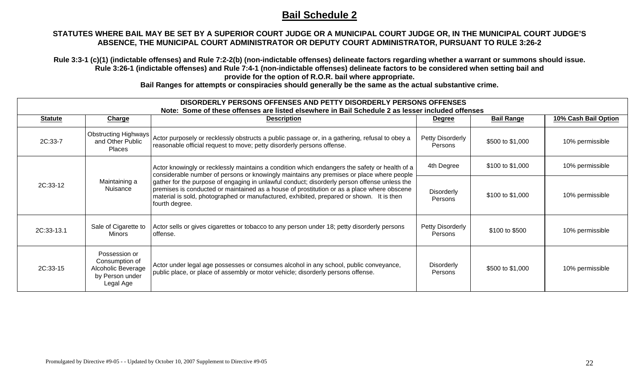#### **STATUTES WHERE BAIL MAY BE SET BY A SUPERIOR COURT JUDGE OR A MUNICIPAL COURT JUDGE OR, IN THE MUNICIPAL COURT JUDGE'S ABSENCE, THE MUNICIPAL COURT ADMINISTRATOR OR DEPUTY COURT ADMINISTRATOR, PURSUANT TO RULE 3:26-2**

**Rule 3:3-1 (c)(1) (indictable offenses) and Rule 7:2-2(b) (non-indictable offenses) delineate factors regarding whether a warrant or summons should issue. Rule 3:26-1 (indictable offenses) and Rule 7:4-1 (non-indictable offenses) delineate factors to be considered when setting bail and provide for the option of R.O.R. bail where appropriate.** 

| DISORDERLY PERSONS OFFENSES AND PETTY DISORDERLY PERSONS OFFENSES |                                                                                       |                                                                                                                                                                                                                                                                                                                                                                                                                                                                                                       |                                     |                   |                      |
|-------------------------------------------------------------------|---------------------------------------------------------------------------------------|-------------------------------------------------------------------------------------------------------------------------------------------------------------------------------------------------------------------------------------------------------------------------------------------------------------------------------------------------------------------------------------------------------------------------------------------------------------------------------------------------------|-------------------------------------|-------------------|----------------------|
|                                                                   |                                                                                       | Note: Some of these offenses are listed elsewhere in Bail Schedule 2 as lesser included offenses                                                                                                                                                                                                                                                                                                                                                                                                      |                                     |                   |                      |
| <b>Statute</b>                                                    | <b>Charge</b>                                                                         | <b>Description</b>                                                                                                                                                                                                                                                                                                                                                                                                                                                                                    | <b>Degree</b>                       | <b>Bail Range</b> | 10% Cash Bail Option |
| 2C:33-7                                                           | <b>Obstructing Highways</b><br>and Other Public<br><b>Places</b>                      | Actor purposely or recklessly obstructs a public passage or, in a gathering, refusal to obey a<br>reasonable official request to move; petty disorderly persons offense.                                                                                                                                                                                                                                                                                                                              | Petty Disorderly<br>Persons         | \$500 to \$1,000  | 10% permissible      |
|                                                                   |                                                                                       | Actor knowingly or recklessly maintains a condition which endangers the safety or health of a<br>considerable number of persons or knowingly maintains any premises or place where people<br>gather for the purpose of engaging in unlawful conduct; disorderly person offense unless the<br>premises is conducted or maintained as a house of prostitution or as a place where obscene<br>material is sold, photographed or manufactured, exhibited, prepared or shown. It is then<br>fourth degree. | 4th Degree                          | \$100 to \$1,000  | 10% permissible      |
| Maintaining a<br>2C:33-12<br>Nuisance                             |                                                                                       |                                                                                                                                                                                                                                                                                                                                                                                                                                                                                                       | Disorderly<br>Persons               | \$100 to \$1,000  | 10% permissible      |
| 2C:33-13.1                                                        | Sale of Cigarette to<br><b>Minors</b>                                                 | Actor sells or gives cigarettes or tobacco to any person under 18; petty disorderly persons<br>loffense.                                                                                                                                                                                                                                                                                                                                                                                              | Petty Disorderly<br>Persons         | \$100 to \$500    | 10% permissible      |
| 2C:33-15                                                          | Possession or<br>Consumption of<br>Alcoholic Beverage<br>by Person under<br>Legal Age | Actor under legal age possesses or consumes alcohol in any school, public conveyance,<br>public place, or place of assembly or motor vehicle; disorderly persons offense.                                                                                                                                                                                                                                                                                                                             | <b>Disorderly</b><br><b>Persons</b> | \$500 to \$1,000  | 10% permissible      |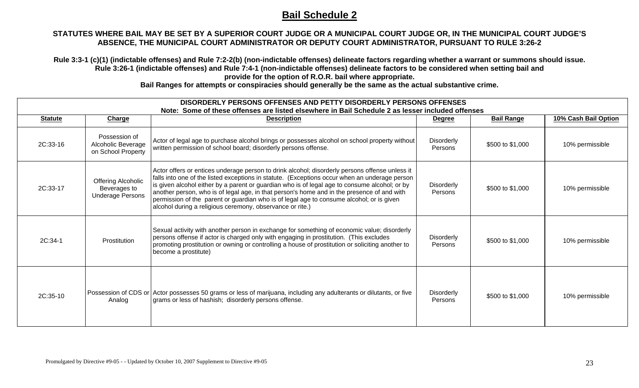#### **STATUTES WHERE BAIL MAY BE SET BY A SUPERIOR COURT JUDGE OR A MUNICIPAL COURT JUDGE OR, IN THE MUNICIPAL COURT JUDGE'S ABSENCE, THE MUNICIPAL COURT ADMINISTRATOR OR DEPUTY COURT ADMINISTRATOR, PURSUANT TO RULE 3:26-2**

**Rule 3:3-1 (c)(1) (indictable offenses) and Rule 7:2-2(b) (non-indictable offenses) delineate factors regarding whether a warrant or summons should issue. Rule 3:26-1 (indictable offenses) and Rule 7:4-1 (non-indictable offenses) delineate factors to be considered when setting bail and provide for the option of R.O.R. bail where appropriate.** 

|                | DISORDERLY PERSONS OFFENSES AND PETTY DISORDERLY PERSONS OFFENSES<br>Note: Some of these offenses are listed elsewhere in Bail Schedule 2 as lesser included offenses |                                                                                                                                                                                                                                                                                                                                                                                                                                                                                                                                                         |                              |                   |                      |
|----------------|-----------------------------------------------------------------------------------------------------------------------------------------------------------------------|---------------------------------------------------------------------------------------------------------------------------------------------------------------------------------------------------------------------------------------------------------------------------------------------------------------------------------------------------------------------------------------------------------------------------------------------------------------------------------------------------------------------------------------------------------|------------------------------|-------------------|----------------------|
| <b>Statute</b> | <b>Charge</b>                                                                                                                                                         | <b>Description</b>                                                                                                                                                                                                                                                                                                                                                                                                                                                                                                                                      | <b>Degree</b>                | <b>Bail Range</b> | 10% Cash Bail Option |
| 2C:33-16       | Possession of<br>Alcoholic Beverage<br>on School Property                                                                                                             | Actor of legal age to purchase alcohol brings or possesses alcohol on school property without<br>written permission of school board; disorderly persons offense.                                                                                                                                                                                                                                                                                                                                                                                        | <b>Disorderly</b><br>Persons | \$500 to \$1,000  | 10% permissible      |
| 2C:33-17       | Offering Alcoholic<br>Beverages to<br><b>Underage Persons</b>                                                                                                         | Actor offers or entices underage person to drink alcohol; disorderly persons offense unless it<br>falls into one of the listed exceptions in statute. (Exceptions occur when an underage person<br>is given alcohol either by a parent or guardian who is of legal age to consume alcohol; or by<br>another person, who is of legal age, in that person's home and in the presence of and with<br>permission of the parent or guardian who is of legal age to consume alcohol; or is given<br>alcohol during a religious ceremony, observance or rite.) | Disorderly<br>Persons        | \$500 to \$1,000  | 10% permissible      |
| 2C:34-1        | Prostitution                                                                                                                                                          | Sexual activity with another person in exchange for something of economic value; disorderly<br>persons offense if actor is charged only with engaging in prostitution. (This excludes<br>promoting prostitution or owning or controlling a house of prostitution or soliciting another to<br>become a prostitute)                                                                                                                                                                                                                                       | Disorderly<br>Persons        | \$500 to \$1,000  | 10% permissible      |
| 2C:35-10       | Analog                                                                                                                                                                | Possession of CDS or Actor possesses 50 grams or less of marijuana, including any adulterants or dilutants, or five<br>grams or less of hashish; disorderly persons offense.                                                                                                                                                                                                                                                                                                                                                                            | <b>Disorderly</b><br>Persons | \$500 to \$1,000  | 10% permissible      |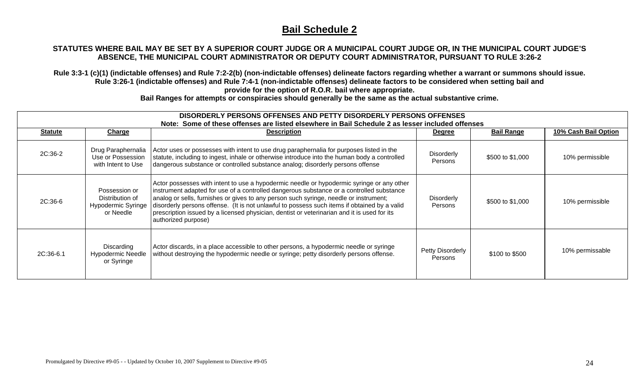#### **STATUTES WHERE BAIL MAY BE SET BY A SUPERIOR COURT JUDGE OR A MUNICIPAL COURT JUDGE OR, IN THE MUNICIPAL COURT JUDGE'S ABSENCE, THE MUNICIPAL COURT ADMINISTRATOR OR DEPUTY COURT ADMINISTRATOR, PURSUANT TO RULE 3:26-2**

**Rule 3:3-1 (c)(1) (indictable offenses) and Rule 7:2-2(b) (non-indictable offenses) delineate factors regarding whether a warrant or summons should issue. Rule 3:26-1 (indictable offenses) and Rule 7:4-1 (non-indictable offenses) delineate factors to be considered when setting bail and provide for the option of R.O.R. bail where appropriate.** 

**Bail Ranges for attempts or conspiracies should generally be the same as the actual substantive crime.** 

| <b>Statute</b> | <u>Charge</u>                                                       | <b>Description</b>                                                                                                                                                                                                                                                                                                                                                                                                                                                                                   | <u>Degree</u>                | <b>Bail Range</b> | 10% Cash Bail Option |
|----------------|---------------------------------------------------------------------|------------------------------------------------------------------------------------------------------------------------------------------------------------------------------------------------------------------------------------------------------------------------------------------------------------------------------------------------------------------------------------------------------------------------------------------------------------------------------------------------------|------------------------------|-------------------|----------------------|
| 2C:36-2        | Drug Paraphernalia<br>Use or Possession<br>with Intent to Use       | Actor uses or possesses with intent to use drug paraphernalia for purposes listed in the<br>statute, including to ingest, inhale or otherwise introduce into the human body a controlled<br>dangerous substance or controlled substance analog; disorderly persons offense                                                                                                                                                                                                                           | <b>Disorderly</b><br>Persons | \$500 to \$1,000  | 10% permissible      |
| 2C:36-6        | Possession or<br>Distribution of<br>Hypodermic Syringe<br>or Needle | Actor possesses with intent to use a hypodermic needle or hypodermic syringe or any other<br>instrument adapted for use of a controlled dangerous substance or a controlled substance<br>analog or sells, furnishes or gives to any person such syringe, needle or instrument;<br>disorderly persons offense. (It is not unlawful to possess such items if obtained by a valid<br>prescription issued by a licensed physician, dentist or veterinarian and it is used for its<br>authorized purpose) | Disorderly<br>Persons        | \$500 to \$1,000  | 10% permissible      |
| 2C:36-6.1      | Discarding<br><b>Hypodermic Needle</b><br>or Syringe                | Actor discards, in a place accessible to other persons, a hypodermic needle or syringe<br>without destroying the hypodermic needle or syringe; petty disorderly persons offense.                                                                                                                                                                                                                                                                                                                     | Petty Disorderly<br>Persons  | \$100 to \$500    | 10% permissable      |

### **DISORDERLY PERSONS OFFENSES AND PETTY DISORDERLY PERSONS OFFENSES**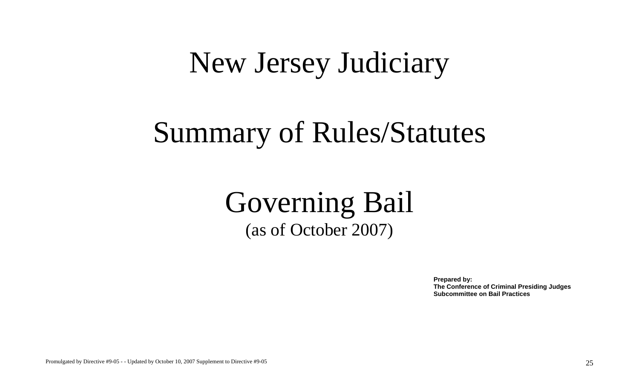## New Jersey Judiciary

## Summary of Rules/Statutes

## Governing Bail (as of October 2007)

**Prepared by: The Conference of Criminal Presiding Judges Subcommittee on Bail Practices**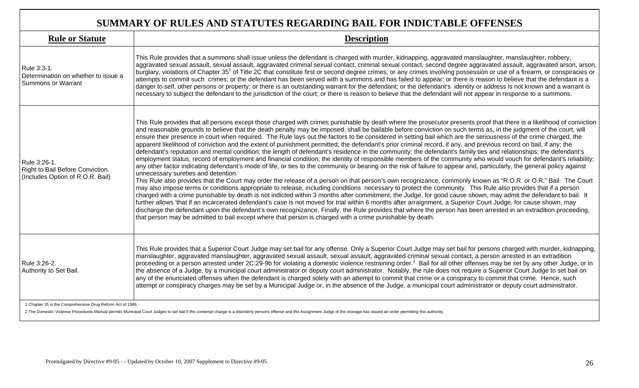## **SUMMARY OF RULES AND STATUTES REGARDING BAIL FOR INDICTABLE OFFENSES**

| <b>Rule or Statute</b>                                                                              | <b>Description</b>                                                                                                                                                                                                                                                                                                                                                                                                                                                                                                                                                                                                                                                                                                                                                                                                                                                                                                                                                                                                                                                                                                                                                                                                                                                                                                                                                                                                                                                                                                                                                                                                                                                                                                                                                                                                                                                                                                                                                                                                                                                                                                                                                                                         |
|-----------------------------------------------------------------------------------------------------|------------------------------------------------------------------------------------------------------------------------------------------------------------------------------------------------------------------------------------------------------------------------------------------------------------------------------------------------------------------------------------------------------------------------------------------------------------------------------------------------------------------------------------------------------------------------------------------------------------------------------------------------------------------------------------------------------------------------------------------------------------------------------------------------------------------------------------------------------------------------------------------------------------------------------------------------------------------------------------------------------------------------------------------------------------------------------------------------------------------------------------------------------------------------------------------------------------------------------------------------------------------------------------------------------------------------------------------------------------------------------------------------------------------------------------------------------------------------------------------------------------------------------------------------------------------------------------------------------------------------------------------------------------------------------------------------------------------------------------------------------------------------------------------------------------------------------------------------------------------------------------------------------------------------------------------------------------------------------------------------------------------------------------------------------------------------------------------------------------------------------------------------------------------------------------------------------------|
| Rule 3:3-1.<br>Determination on whether to issue a<br><b>Summons or Warrant</b>                     | This Rule provides that a summons shall issue unless the defendant is charged with murder, kidnapping, aggravated manslaughter, manslaughter, robbery,<br>aggravated sexual assault, sexual assault, aggravated criminal sexual contact, criminal sexual contact, second degree aggravated assault, aggravated arson, arson,<br>burglary, violations of Chapter 35 <sup>1</sup> of Title 2C that constitute first or second degree crimes, or any crimes involving possession or use of a firearm, or conspiracies or<br>attempts to commit such crimes; or the defendant has been served with a summons and has failed to appear; or there is reason to believe that the defendant is a<br>danger to self, other persons or property; or there is an outstanding warrant for the defendant; or the defendant's identity or address is not known and a warrant is<br>necessary to subject the defendant to the jurisdiction of the court; or there is reason to believe that the defendant will not appear in response to a summons.                                                                                                                                                                                                                                                                                                                                                                                                                                                                                                                                                                                                                                                                                                                                                                                                                                                                                                                                                                                                                                                                                                                                                                       |
| Rule 3:26-1.<br>Right to Bail Before Conviction.<br>(Includes Option of R.O.R. Bail)                | This Rule provides that all persons except those charged with crimes punishable by death where the prosecutor presents proof that there is a likelihood of conviction<br>and reasonable grounds to believe that the death penalty may be imposed, shall be bailable before conviction on such terms as, in the judgment of the court, will<br>ensure their presence in court when required. The Rule lays out the factors to be considered in setting bail which are the seriousness of the crime charged, the<br>apparent likelihood of conviction and the extent of punishment permitted; the defendant's prior criminal record, if any, and previous record on bail, if any; the<br>defendant's reputation and mental condition; the length of defendant's residence in the community; the defendant's family ties and relationships; the defendant's<br>employment status; record of employment and financial condition; the identity of responsible members of the community who would vouch for defendant's reliability;<br>any other factor indicating defendant's mode of life, or ties to the community or bearing on the risk of failure to appear and, particularly, the general policy against<br>unnecessary sureties and detention.<br>This Rule also provides that the Court may order the release of a person on that person's own recognizance, commonly known as "R.O.R. or O.R." Bail. The Court<br>may also impose terms or conditions appropriate to release, including conditions necessary to protect the community. This Rule also provides that if a person<br>charged with a crime punishable by death is not indicted within 3 months after commitment, the Judge, for good cause shown, may admit the defendant to bail. It<br>further allows 'that if an incarcerated defendant's case is not moved for trial within 6 months after arraignment, a Superior Court Judge, for cause shown, may<br>discharge the defendant upon the defendant's own recognizance. Finally, the Rule provides that where the person has been arrested in an extradition proceeding,<br>that person may be admitted to bail except where that person is charged with a crime punishable by death. |
| Rule 3:26-2.<br>Authority to Set Bail.<br>1 Chapter 35 is the Comprehensive Drug Reform Act of 1986 | This Rule provides that a Superior Court Judge may set bail for any offense. Only a Superior Court Judge may set bail for persons charged with murder, kidnapping,<br>manslaughter, aggravated manslaughter, aggravated sexual assault, sexual assault, aggravated criminal sexual contact, a person arrested in an extradition<br>proceeding or a person arrested under 2C:29-9b for violating a domestic violence restraining order. <sup>2</sup> Bail for all other offenses may be set by any other Judge, or in<br>the absence of a Judge, by a municipal court administrator or deputy court administrator. Notably, the rule does not require a Superior Court Judge to set bail on<br>any of the enunciated offenses when the defendant is charged solely with an attempt to commit that crime or a conspiracy to commit that crime. Hence, such<br>attempt or conspiracy charges may be set by a Municipal Judge or, in the absence of the Judge, a municipal court administrator or deputy court administrator.                                                                                                                                                                                                                                                                                                                                                                                                                                                                                                                                                                                                                                                                                                                                                                                                                                                                                                                                                                                                                                                                                                                                                                                  |

1 Chapter 35 is the Comprehensive Drug Reform Act of 1986.

2 The Domestic Violence Procedures Manual permits Municipal Court Judges to set bail if the contempt charge is a disorderly persons offense and the Assignment Judge of the vicinage has issued an order permitting this autho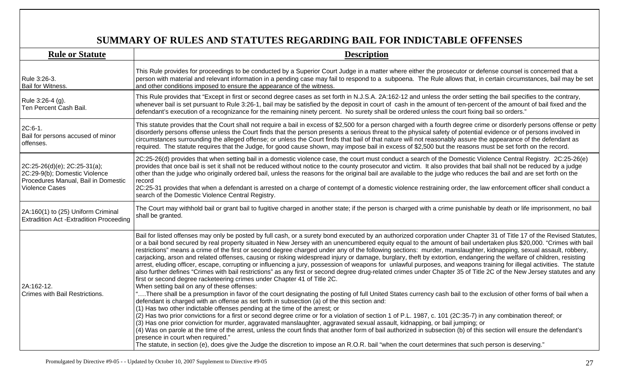## **SUMMARY OF RULES AND STATUTES REGARDING BAIL FOR INDICTABLE OFFENSES**

| <b>Rule or Statute</b>                                                                                                        | <b>Description</b>                                                                                                                                                                                                                                                                                                                                                                                                                                                                                                                                                                                                                                                                                                                                                                                                                                                                                                                                                                                                                                                                                                                                                                                                                                                                                                                                                                                                                                                                                                                                                                                                                                                                                                                                                                                                                                                                                                                                                                                                                                                                                                                                                                                       |
|-------------------------------------------------------------------------------------------------------------------------------|----------------------------------------------------------------------------------------------------------------------------------------------------------------------------------------------------------------------------------------------------------------------------------------------------------------------------------------------------------------------------------------------------------------------------------------------------------------------------------------------------------------------------------------------------------------------------------------------------------------------------------------------------------------------------------------------------------------------------------------------------------------------------------------------------------------------------------------------------------------------------------------------------------------------------------------------------------------------------------------------------------------------------------------------------------------------------------------------------------------------------------------------------------------------------------------------------------------------------------------------------------------------------------------------------------------------------------------------------------------------------------------------------------------------------------------------------------------------------------------------------------------------------------------------------------------------------------------------------------------------------------------------------------------------------------------------------------------------------------------------------------------------------------------------------------------------------------------------------------------------------------------------------------------------------------------------------------------------------------------------------------------------------------------------------------------------------------------------------------------------------------------------------------------------------------------------------------|
| Rule 3:26-3.<br>Bail for Witness.                                                                                             | This Rule provides for proceedings to be conducted by a Superior Court Judge in a matter where either the prosecutor or defense counsel is concerned that a<br>person with material and relevant information in a pending case may fail to respond to a subpoena. The Rule allows that, in certain circumstances, bail may be set<br>and other conditions imposed to ensure the appearance of the witness.                                                                                                                                                                                                                                                                                                                                                                                                                                                                                                                                                                                                                                                                                                                                                                                                                                                                                                                                                                                                                                                                                                                                                                                                                                                                                                                                                                                                                                                                                                                                                                                                                                                                                                                                                                                               |
| Rule 3:26-4 (g).<br>Ten Percent Cash Bail.                                                                                    | This Rule provides that "Except in first or second degree cases as set forth in N.J.S.A. 2A:162-12 and unless the order setting the bail specifies to the contrary,<br>whenever bail is set pursuant to Rule 3:26-1, bail may be satisfied by the deposit in court of cash in the amount of ten-percent of the amount of bail fixed and the<br>defendant's execution of a recognizance for the remaining ninety percent. No surety shall be ordered unless the court fixing bail so orders."                                                                                                                                                                                                                                                                                                                                                                                                                                                                                                                                                                                                                                                                                                                                                                                                                                                                                                                                                                                                                                                                                                                                                                                                                                                                                                                                                                                                                                                                                                                                                                                                                                                                                                             |
| 2C:6-1.<br>Bail for persons accused of minor<br>offenses.                                                                     | This statute provides that the Court shall not require a bail in excess of \$2,500 for a person charged with a fourth degree crime or disorderly persons offense or petty<br>disorderly persons offense unless the Court finds that the person presents a serious threat to the physical safety of potential evidence or of persons involved in<br>circumstances surrounding the alleged offense; or unless the Court finds that bail of that nature will not reasonably assure the appearance of the defendant as<br>required. The statute requires that the Judge, for good cause shown, may impose bail in excess of \$2,500 but the reasons must be set forth on the record.                                                                                                                                                                                                                                                                                                                                                                                                                                                                                                                                                                                                                                                                                                                                                                                                                                                                                                                                                                                                                                                                                                                                                                                                                                                                                                                                                                                                                                                                                                                         |
| 2C:25-26(d)(e); 2C:25-31(a);<br>2C:29-9(b); Domestic Violence<br>Procedures Manual, Bail in Domestic<br><b>Violence Cases</b> | 2C:25-26(d) provides that when setting bail in a domestic violence case, the court must conduct a search of the Domestic Violence Central Registry. 2C:25-26(e)<br>provides that once bail is set it shall not be reduced without notice to the county prosecutor and victim. It also provides that bail shall not be reduced by a judge<br>other than the judge who originally ordered bail, unless the reasons for the original bail are available to the judge who reduces the bail and are set forth on the<br>record<br>2C:25-31 provides that when a defendant is arrested on a charge of contempt of a domestic violence restraining order, the law enforcement officer shall conduct a<br>search of the Domestic Violence Central Registry.                                                                                                                                                                                                                                                                                                                                                                                                                                                                                                                                                                                                                                                                                                                                                                                                                                                                                                                                                                                                                                                                                                                                                                                                                                                                                                                                                                                                                                                      |
| 2A:160(1) to (25) Uniform Criminal<br><b>Extradition Act - Extradition Proceeding</b>                                         | The Court may withhold bail or grant bail to fugitive charged in another state; if the person is charged with a crime punishable by death or life imprisonment, no bail<br>shall be granted.                                                                                                                                                                                                                                                                                                                                                                                                                                                                                                                                                                                                                                                                                                                                                                                                                                                                                                                                                                                                                                                                                                                                                                                                                                                                                                                                                                                                                                                                                                                                                                                                                                                                                                                                                                                                                                                                                                                                                                                                             |
| 2A:162-12.<br>Crimes with Bail Restrictions.                                                                                  | Bail for listed offenses may only be posted by full cash, or a surety bond executed by an authorized corporation under Chapter 31 of Title 17 of the Revised Statutes,<br>or a bail bond secured by real property situated in New Jersey with an unencumbered equity equal to the amount of bail undertaken plus \$20,000. "Crimes with bail<br>restrictions" means a crime of the first or second degree charged under any of the following sections: murder, manslaughter, kidnapping, sexual assault, robbery,<br>carjacking, arson and related offenses, causing or risking widespread injury or damage, burglary, theft by extortion, endangering the welfare of children, resisting<br>arrest, eluding officer, escape, corrupting or influencing a jury, possession of weapons for unlawful purposes, and weapons training for illegal activities. The statute<br>also further defines "Crimes with bail restrictions" as any first or second degree drug-related crimes under Chapter 35 of Title 2C of the New Jersey statutes and any<br>first or second degree racketeering crimes under Chapter 41 of Title 2C.<br>When setting bail on any of these offenses:<br>"There shall be a presumption in favor of the court designating the posting of full United States currency cash bail to the exclusion of other forms of bail when a<br>defendant is charged with an offense as set forth in subsection (a) of the this section and:<br>(1) Has two other indictable offenses pending at the time of the arrest; or<br>(2) Has two prior convictions for a first or second degree crime or for a violation of section 1 of P.L. 1987, c. 101 (2C:35-7) in any combination thereof; or<br>(3) Has one prior conviction for murder, aggravated manslaughter, aggravated sexual assault, kidnapping, or bail jumping; or<br>(4) Was on parole at the time of the arrest, unless the court finds that another form of bail authorized in subsection (b) of this section will ensure the defendant's<br>presence in court when required."<br>The statute, in section (e), does give the Judge the discretion to impose an R.O.R. bail "when the court determines that such person is deserving." |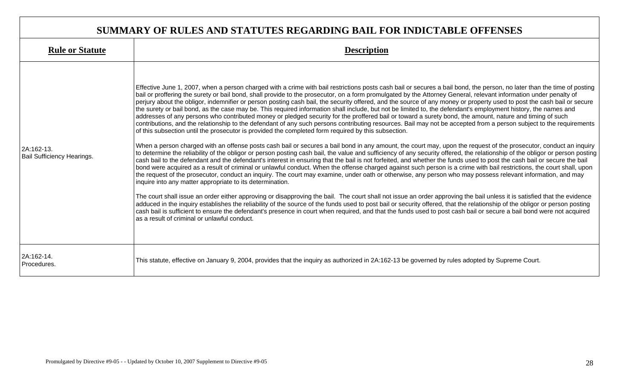| SUMMARY OF RULES AND STATUTES REGARDING BAIL FOR INDICTABLE OFFENSES |                                                                                                                                                                                                                                                                                                                                                                                                                                                                                                                                                                                                                                                                                                                                                                                                                                                                                                                                                                                                                                                                                                                                                                                                                                                                                                                                                                                                                                                                                                                                                                                                                                                                                                                                                                                                                                                                                                                                                                                                                                                                                                                                                                                                                                                                                                                                                                                                                                                                                                                                                                                                                                                              |  |
|----------------------------------------------------------------------|--------------------------------------------------------------------------------------------------------------------------------------------------------------------------------------------------------------------------------------------------------------------------------------------------------------------------------------------------------------------------------------------------------------------------------------------------------------------------------------------------------------------------------------------------------------------------------------------------------------------------------------------------------------------------------------------------------------------------------------------------------------------------------------------------------------------------------------------------------------------------------------------------------------------------------------------------------------------------------------------------------------------------------------------------------------------------------------------------------------------------------------------------------------------------------------------------------------------------------------------------------------------------------------------------------------------------------------------------------------------------------------------------------------------------------------------------------------------------------------------------------------------------------------------------------------------------------------------------------------------------------------------------------------------------------------------------------------------------------------------------------------------------------------------------------------------------------------------------------------------------------------------------------------------------------------------------------------------------------------------------------------------------------------------------------------------------------------------------------------------------------------------------------------------------------------------------------------------------------------------------------------------------------------------------------------------------------------------------------------------------------------------------------------------------------------------------------------------------------------------------------------------------------------------------------------------------------------------------------------------------------------------------------------|--|
| <b>Rule or Statute</b>                                               | <b>Description</b>                                                                                                                                                                                                                                                                                                                                                                                                                                                                                                                                                                                                                                                                                                                                                                                                                                                                                                                                                                                                                                                                                                                                                                                                                                                                                                                                                                                                                                                                                                                                                                                                                                                                                                                                                                                                                                                                                                                                                                                                                                                                                                                                                                                                                                                                                                                                                                                                                                                                                                                                                                                                                                           |  |
| 2A:162-13.<br><b>Bail Sufficiency Hearings.</b>                      | Effective June 1, 2007, when a person charged with a crime with bail restrictions posts cash bail or secures a bail bond, the person, no later than the time of posting<br>bail or proffering the surety or bail bond, shall provide to the prosecutor, on a form promulgated by the Attorney General, relevant information under penalty of<br>perjury about the obligor, indemnifier or person posting cash bail, the security offered, and the source of any money or property used to post the cash bail or secure<br>the surety or bail bond, as the case may be. This required information shall include, but not be limited to, the defendant's employment history, the names and<br>addresses of any persons who contributed money or pledged security for the proffered bail or toward a surety bond, the amount, nature and timing of such<br>contributions, and the relationship to the defendant of any such persons contributing resources. Bail may not be accepted from a person subject to the requirements<br>of this subsection until the prosecutor is provided the completed form required by this subsection.<br>When a person charged with an offense posts cash bail or secures a bail bond in any amount, the court may, upon the request of the prosecutor, conduct an inquiry<br>to determine the reliability of the obligor or person posting cash bail, the value and sufficiency of any security offered, the relationship of the obligor or person posting<br>cash bail to the defendant and the defendant's interest in ensuring that the bail is not forfeited, and whether the funds used to post the cash bail or secure the bail<br>bond were acquired as a result of criminal or unlawful conduct. When the offense charged against such person is a crime with bail restrictions, the court shall, upon<br>the request of the prosecutor, conduct an inquiry. The court may examine, under oath or otherwise, any person who may possess relevant information, and may<br>inquire into any matter appropriate to its determination.<br>The court shall issue an order either approving or disapproving the bail. The court shall not issue an order approving the bail unless it is satisfied that the evidence<br>adduced in the inquiry establishes the reliability of the source of the funds used to post bail or security offered, that the relationship of the obligor or person posting<br>cash bail is sufficient to ensure the defendant's presence in court when required, and that the funds used to post cash bail or secure a bail bond were not acquired<br>las a result of criminal or unlawful conduct. |  |
| 2A:162-14.<br>Procedures.                                            | This statute, effective on January 9, 2004, provides that the inquiry as authorized in 2A:162-13 be governed by rules adopted by Supreme Court.                                                                                                                                                                                                                                                                                                                                                                                                                                                                                                                                                                                                                                                                                                                                                                                                                                                                                                                                                                                                                                                                                                                                                                                                                                                                                                                                                                                                                                                                                                                                                                                                                                                                                                                                                                                                                                                                                                                                                                                                                                                                                                                                                                                                                                                                                                                                                                                                                                                                                                              |  |